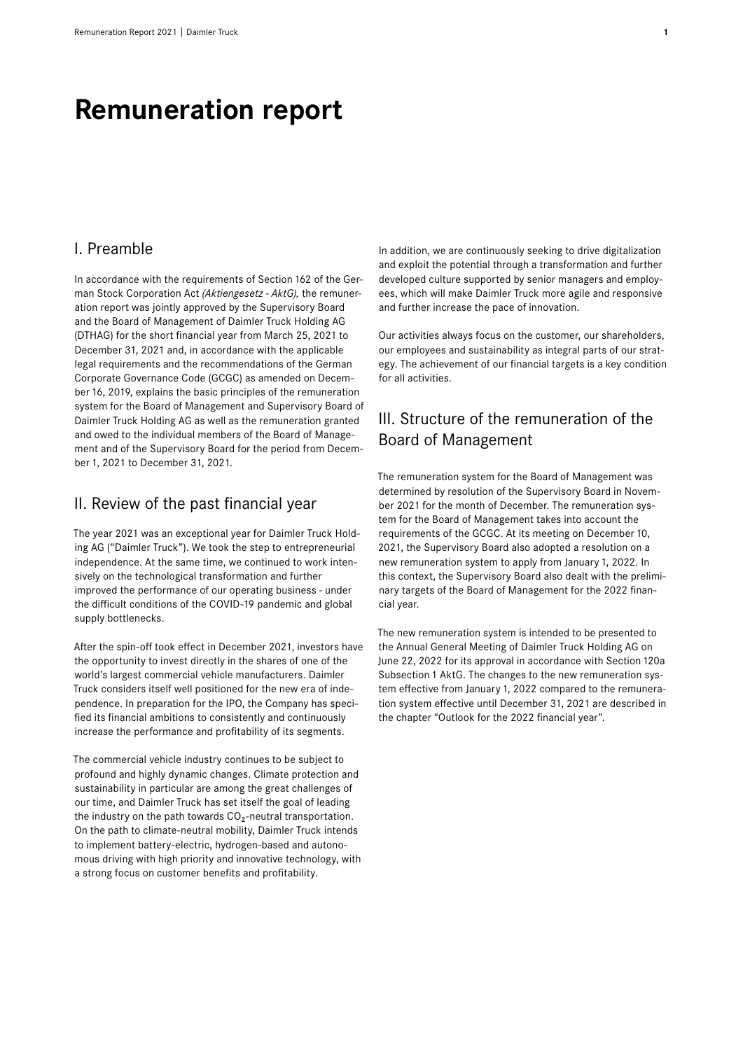# **Remuneration report**

## I. Preamble

In accordance with the requirements of Section 162 of the German Stock Corporation Act *(Aktiengesetz - AktG),* the remuneration report was jointly approved by the Supervisory Board and the Board of Management of Daimler Truck Holding AG (DTHAG) for the short financial year from March 25, 2021 to December 31, 2021 and, in accordance with the applicable legal requirements and the recommendations of the German Corporate Governance Code (GCGC) as amended on December16, 2019, explains the basic principles of the remuneration system for the Board of Management and Supervisory Board of Daimler Truck Holding AG as well as the remuneration granted and owed to the individual members of the Board of Management and of the Supervisory Board for the period from December1, 2021 to December 31, 2021.

### II. Review of the past financial year

The year 2021 was an exceptional year for Daimler Truck Holding AG ("Daimler Truck"). We took the step to entrepreneurial independence. At the same time, we continued to work intensively on the technological transformation and further improved the performance of our operating business - under the difficult conditions of the COVID-19 pandemic and global supply bottlenecks.

After the spin-off took effect in December 2021, investors have the opportunity to invest directly in the shares of one of the world's largest commercial vehicle manufacturers. Daimler Truck considers itself well positioned for the new era of independence. In preparation for the IPO, the Company has specified its financial ambitions to consistently and continuously increase the performance and profitability of its segments.

The commercial vehicle industry continues to be subject to profound and highly dynamic changes. Climate protection and sustainability in particular are among the great challenges of our time, and Daimler Truck has set itself the goal of leading the industry on the path towards  $CO<sub>2</sub>$ -neutral transportation. On the path to climate-neutral mobility, Daimler Truck intends to implement battery-electric, hydrogen-based and autonomous driving with high priority and innovative technology, with a strong focus on customer benefits and profitability.

In addition, we are continuously seeking to drive digitalization and exploit the potential through a transformation and further developed culture supported by senior managers and employees, which will make Daimler Truck more agile and responsive and further increase the pace of innovation.

Our activities always focus on the customer, our shareholders, our employees and sustainability as integral parts of our strategy. The achievement of our financial targets is a key condition for all activities.

# III. Structure of the remuneration of the Board of Management

The remuneration system for the Board of Management was determined by resolution of the Supervisory Board in November 2021 for the month of December. The remuneration system for the Board of Management takes into account the requirements of the GCGC. At its meeting on December10, 2021, the Supervisory Board also adopted a resolution on a new remuneration system to apply from January 1, 2022. In this context, the Supervisory Board also dealt with the preliminary targets of the Board of Management for the 2022 financial year.

The new remuneration system is intended to be presented to the Annual General Meeting of Daimler Truck Holding AG on June 22, 2022 for its approval in accordance with Section 120a Subsection 1 AktG. The changes to the new remuneration system effective from January 1, 2022 compared to the remuneration system effective until December 31, 2021 are described in the chapter "Outlook for the 2022 financial year".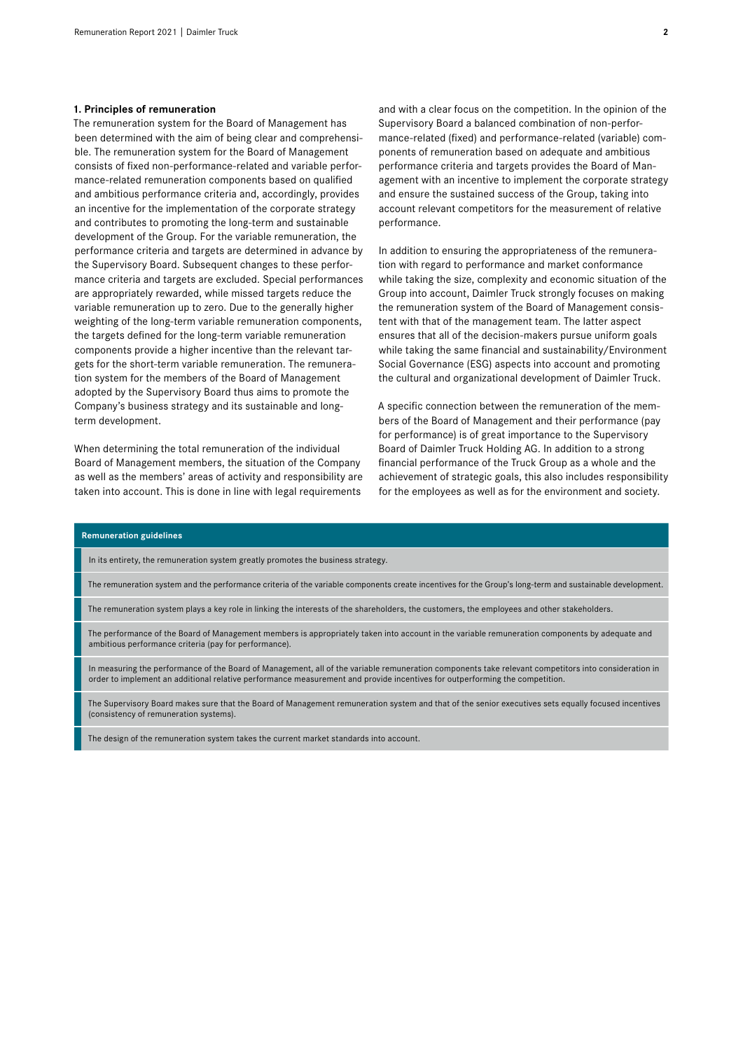#### **1. Principles of remuneration**

The remuneration system for the Board of Management has been determined with the aim of being clear and comprehensible. The remuneration system for the Board of Management consists of fixed non-performance-related and variable performance-related remuneration components based on qualified and ambitious performance criteria and, accordingly, provides an incentive for the implementation of the corporate strategy and contributes to promoting the long-term and sustainable development of the Group. For the variable remuneration, the performance criteria and targets are determined in advance by the Supervisory Board. Subsequent changes to these performance criteria and targets are excluded. Special performances are appropriately rewarded, while missed targets reduce the variable remuneration up to zero. Due to the generally higher weighting of the long-term variable remuneration components, the targets defined for the long-term variable remuneration components provide a higher incentive than the relevant targets for the short-term variable remuneration. The remuneration system for the members of the Board of Management adopted by the Supervisory Board thus aims to promote the Company's business strategy and its sustainable and longterm development.

When determining the total remuneration of the individual Board of Management members, the situation of the Company as well as the members' areas of activity and responsibility are taken into account. This is done in line with legal requirements

and with a clear focus on the competition. In the opinion of the Supervisory Board a balanced combination of non-performance-related (fixed) and performance-related (variable) components of remuneration based on adequate and ambitious performance criteria and targets provides the Board of Management with an incentive to implement the corporate strategy and ensure the sustained success of the Group, taking into account relevant competitors for the measurement of relative performance.

In addition to ensuring the appropriateness of the remuneration with regard to performance and market conformance while taking the size, complexity and economic situation of the Group into account, Daimler Truck strongly focuses on making the remuneration system of the Board of Management consistent with that of the management team. The latter aspect ensures that all of the decision-makers pursue uniform goals while taking the same financial and sustainability/Environment Social Governance (ESG) aspects into account and promoting the cultural and organizational development of Daimler Truck.

A specific connection between the remuneration of the members of the Board of Management and their performance (pay for performance) is of great importance to the Supervisory Board of Daimler Truck Holding AG. In addition to a strong financial performance of the Truck Group as a whole and the achievement of strategic goals, this also includes responsibility for the employees as well as for the environment and society.

#### **Remuneration guidelines**

In its entirety, the remuneration system greatly promotes the business strategy.

The remuneration system and the performance criteria of the variable components create incentives for the Group's long-term and sustainable development.

The remuneration system plays a key role in linking the interests of the shareholders, the customers, the employees and other stakeholders.

The performance of the Board of Management members is appropriately taken into account in the variable remuneration components by adequate and ambitious performance criteria (pay for performance).

In measuring the performance of the Board of Management, all of the variable remuneration components take relevant competitors into consideration in order to implement an additional relative performance measurement and provide incentives for outperforming the competition.

The Supervisory Board makes sure that the Board of Management remuneration system and that of the senior executives sets equally focused incentives (consistency of remuneration systems).

The design of the remuneration system takes the current market standards into account.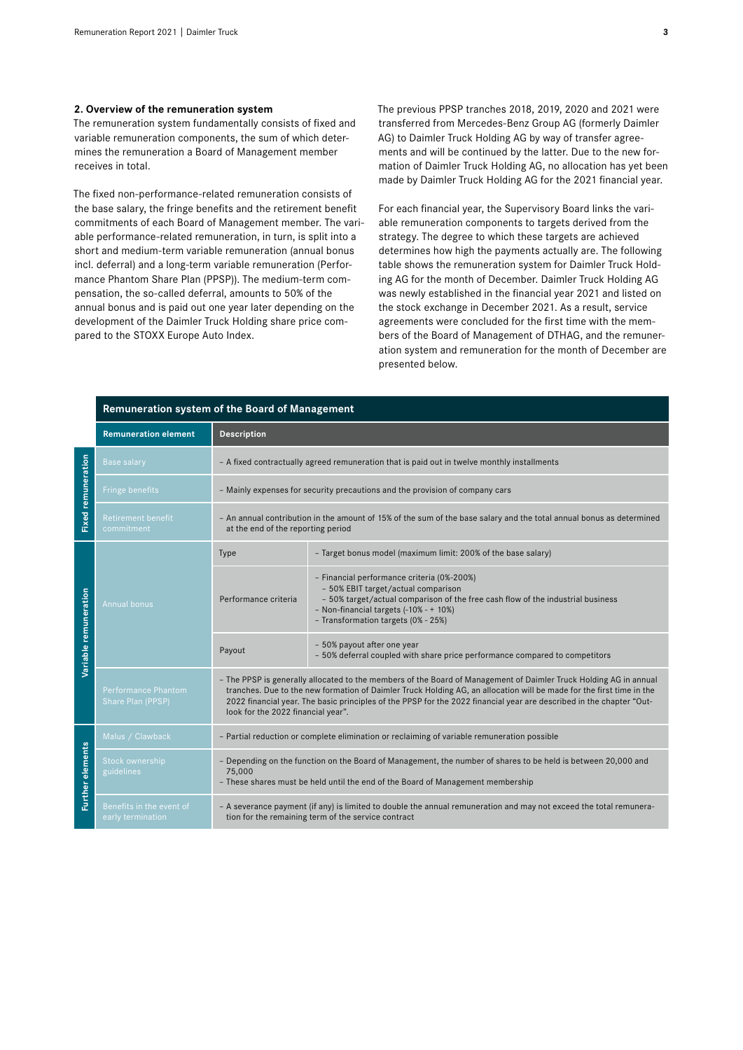#### **2. Overview of the remuneration system**

The remuneration system fundamentally consists of fixed and variable remuneration components, the sum of which determines the remuneration a Board of Management member receives in total.

The fixed non-performance-related remuneration consists of the base salary, the fringe benefits and the retirement benefit commitments of each Board of Management member. The variable performance-related remuneration, in turn, is split into a short and medium-term variable remuneration (annual bonus incl. deferral) and a long-term variable remuneration (Performance Phantom Share Plan (PPSP)). The medium-term compensation, the so-called deferral, amounts to 50% of the annual bonus and is paid out one year later depending on the development of the Daimler Truck Holding share price compared to the STOXX Europe Auto Index.

The previous PPSP tranches 2018, 2019, 2020 and 2021 were transferred from Mercedes-Benz Group AG (formerly Daimler AG) to Daimler Truck Holding AG by way of transfer agreements and will be continued by the latter. Due to the new formation of Daimler Truck Holding AG, no allocation has yet been made by Daimler Truck Holding AG for the 2021 financial year.

For each financial year, the Supervisory Board links the variable remuneration components to targets derived from the strategy. The degree to which these targets are achieved determines how high the payments actually are. The following table shows the remuneration system for Daimler Truck Holding AG for the month of December. Daimler Truck Holding AG was newly established in the financial year 2021 and listed on the stock exchange in December 2021. As a result, service agreements were concluded for the first time with the members of the Board of Management of DTHAG, and the remuneration system and remuneration for the month of December are presented below.

| Remuneration system of the Board of Management |                                                       |                                                                                                                                                                                                                                                                                                                                                                                                         |                                                                                                                                                                                                                                                       |  |  |  |  |
|------------------------------------------------|-------------------------------------------------------|---------------------------------------------------------------------------------------------------------------------------------------------------------------------------------------------------------------------------------------------------------------------------------------------------------------------------------------------------------------------------------------------------------|-------------------------------------------------------------------------------------------------------------------------------------------------------------------------------------------------------------------------------------------------------|--|--|--|--|
|                                                | <b>Remuneration element</b><br><b>Description</b>     |                                                                                                                                                                                                                                                                                                                                                                                                         |                                                                                                                                                                                                                                                       |  |  |  |  |
|                                                | <b>Base salary</b>                                    |                                                                                                                                                                                                                                                                                                                                                                                                         | - A fixed contractually agreed remuneration that is paid out in twelve monthly installments                                                                                                                                                           |  |  |  |  |
|                                                | <b>Fringe benefits</b>                                | - Mainly expenses for security precautions and the provision of company cars                                                                                                                                                                                                                                                                                                                            |                                                                                                                                                                                                                                                       |  |  |  |  |
| <b>Fixed remuneration</b>                      | <b>Retirement benefit</b><br>commitment               |                                                                                                                                                                                                                                                                                                                                                                                                         | - An annual contribution in the amount of 15% of the sum of the base salary and the total annual bonus as determined<br>at the end of the reporting period                                                                                            |  |  |  |  |
| Variable remuneration                          |                                                       | Type                                                                                                                                                                                                                                                                                                                                                                                                    | - Target bonus model (maximum limit: 200% of the base salary)                                                                                                                                                                                         |  |  |  |  |
|                                                | Performance criteria<br><b>Annual bonus</b><br>Payout |                                                                                                                                                                                                                                                                                                                                                                                                         | - Financial performance criteria (0%-200%)<br>- 50% EBIT target/actual comparison<br>- 50% target/actual comparison of the free cash flow of the industrial business<br>- Non-financial targets (-10% - + 10%)<br>- Transformation targets (0% - 25%) |  |  |  |  |
|                                                |                                                       | - 50% payout after one year<br>- 50% deferral coupled with share price performance compared to competitors                                                                                                                                                                                                                                                                                              |                                                                                                                                                                                                                                                       |  |  |  |  |
|                                                | Performance Phantom<br>Share Plan (PPSP)              | - The PPSP is generally allocated to the members of the Board of Management of Daimler Truck Holding AG in annual<br>tranches. Due to the new formation of Daimler Truck Holding AG, an allocation will be made for the first time in the<br>2022 financial year. The basic principles of the PPSP for the 2022 financial year are described in the chapter "Out-<br>look for the 2022 financial year". |                                                                                                                                                                                                                                                       |  |  |  |  |
|                                                | Malus / Clawback                                      |                                                                                                                                                                                                                                                                                                                                                                                                         | - Partial reduction or complete elimination or reclaiming of variable remuneration possible                                                                                                                                                           |  |  |  |  |
| <b>Further elements</b>                        | <b>Stock ownership</b><br>guidelines                  | - Depending on the function on the Board of Management, the number of shares to be held is between 20,000 and<br>75,000<br>- These shares must be held until the end of the Board of Management membership                                                                                                                                                                                              |                                                                                                                                                                                                                                                       |  |  |  |  |
|                                                | Benefits in the event of<br>early termination         | - A severance payment (if any) is limited to double the annual remuneration and may not exceed the total remunera-<br>tion for the remaining term of the service contract                                                                                                                                                                                                                               |                                                                                                                                                                                                                                                       |  |  |  |  |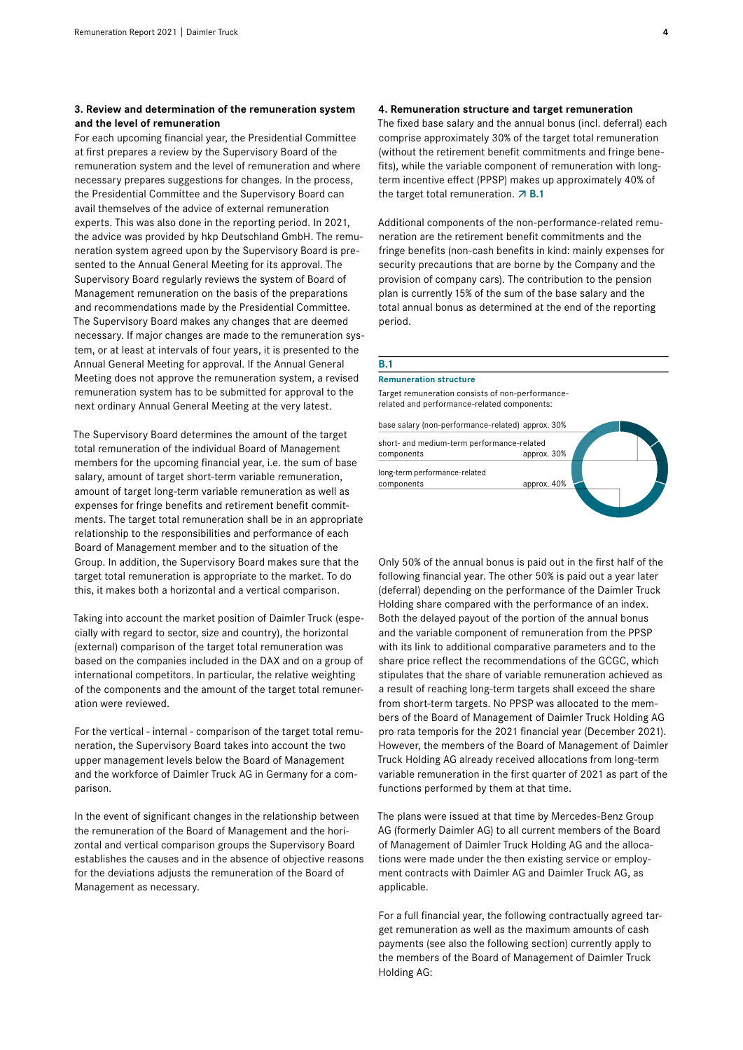#### **3. Review and determination of the remuneration system and the level of remuneration**

For each upcoming financial year, the Presidential Committee at first prepares a review by the Supervisory Board of the remuneration system and the level of remuneration and where necessary prepares suggestions for changes. In the process, the Presidential Committee and the Supervisory Board can avail themselves of the advice of external remuneration experts. This was also done in the reporting period. In 2021, the advice was provided by hkp Deutschland GmbH. The remuneration system agreed upon by the Supervisory Board is presented to the Annual General Meeting for its approval. The Supervisory Board regularly reviews the system of Board of Management remuneration on the basis of the preparations and recommendations made by the Presidential Committee. The Supervisory Board makes any changes that are deemed necessary. If major changes are made to the remuneration system, or at least at intervals of four years, it is presented to the Annual General Meeting for approval. If the Annual General Meeting does not approve the remuneration system, a revised remuneration system has to be submitted for approval to the next ordinary Annual General Meeting at the very latest.

The Supervisory Board determines the amount of the target total remuneration of the individual Board of Management members for the upcoming financial year, i.e. the sum of base salary, amount of target short-term variable remuneration, amount of target long-term variable remuneration as well as expenses for fringe benefits and retirement benefit commitments. The target total remuneration shall be in an appropriate relationship to the responsibilities and performance of each Board of Management member and to the situation of the Group. In addition, the Supervisory Board makes sure that the target total remuneration is appropriate to the market. To do this, it makes both a horizontal and a vertical comparison.

Taking into account the market position of Daimler Truck (especially with regard to sector, size and country), the horizontal (external) comparison of the target total remuneration was based on the companies included in the DAX and on a group of international competitors. In particular, the relative weighting of the components and the amount of the target total remuneration were reviewed.

For the vertical - internal - comparison of the target total remuneration, the Supervisory Board takes into account the two upper management levels below the Board of Management and the workforce of Daimler Truck AG in Germany for a comparison.

In the event of significant changes in the relationship between the remuneration of the Board of Management and the horizontal and vertical comparison groups the Supervisory Board establishes the causes and in the absence of objective reasons for the deviations adjusts the remuneration of the Board of Management as necessary.

#### **4. Remuneration structure and target remuneration**

The fixed base salary and the annual bonus (incl. deferral) each comprise approximately 30% of the target total remuneration (without the retirement benefit commitments and fringe benefits), while the variable component of remuneration with longterm incentive effect (PPSP) makes up approximately 40% of the target total remuneration.  $\overline{A}$  **B.1** 

Additional components of the non-performance-related remuneration are the retirement benefit commitments and the fringe benefits (non-cash benefits in kind: mainly expenses for security precautions that are borne by the Company and the provision of company cars). The contribution to the pension plan is currently15% of the sum of the base salary and the total annual bonus as determined at the end of the reporting period.

#### **B.1**

#### **Remuneration structure**

Target remuneration consists of non-performancerelated and performance-related components:

| base salary (non-performance-related) approx. 30% |             |  |
|---------------------------------------------------|-------------|--|
| short- and medium-term performance-related        |             |  |
| components                                        | approx. 30% |  |
| long-term performance-related                     |             |  |
| components                                        | approx. 40% |  |
|                                                   |             |  |

Only 50% of the annual bonus is paid out in the first half of the following financial year. The other 50% is paid out a year later (deferral) depending on the performance of the Daimler Truck Holding share compared with the performance of an index. Both the delayed payout of the portion of the annual bonus and the variable component of remuneration from the PPSP with its link to additional comparative parameters and to the share price reflect the recommendations of the GCGC, which stipulates that the share of variable remuneration achieved as a result of reaching long-term targets shall exceed the share from short-term targets. No PPSP was allocated to the members of the Board of Management of Daimler Truck Holding AG pro rata temporis for the 2021 financial year (December 2021). However, the members of the Board of Management of Daimler Truck Holding AG already received allocations from long-term variable remuneration in the first quarter of 2021 as part of the functions performed by them at that time.

The plans were issued at that time by Mercedes-Benz Group AG (formerly Daimler AG) to all current members of the Board of Management of Daimler Truck Holding AG and the allocations were made under the then existing service or employment contracts with Daimler AG and Daimler Truck AG, as applicable.

For a full financial year, the following contractually agreed target remuneration as well as the maximum amounts of cash payments (see also the following section) currently apply to the members of the Board of Management of Daimler Truck Holding AG: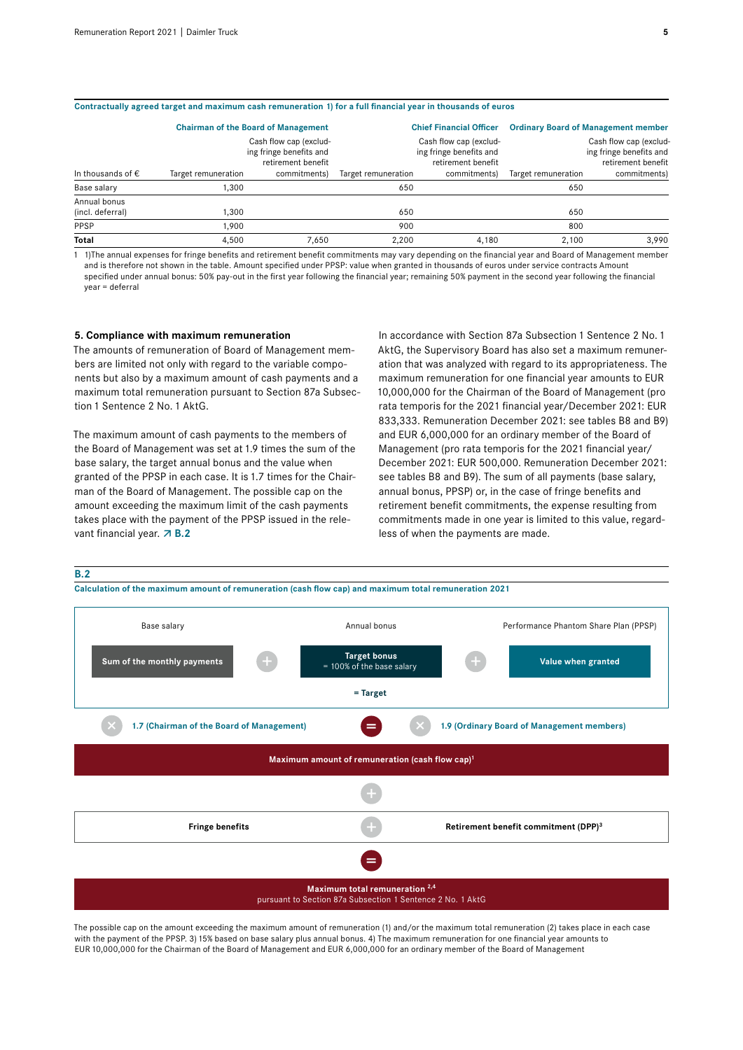| Contractually agreed target and maximum cash remuneration 1) for a full financial year in thousands of euros |                     |                                                                                         |                     |                                                                                         |                                            |                                                                                         |  |  |  |  |
|--------------------------------------------------------------------------------------------------------------|---------------------|-----------------------------------------------------------------------------------------|---------------------|-----------------------------------------------------------------------------------------|--------------------------------------------|-----------------------------------------------------------------------------------------|--|--|--|--|
|                                                                                                              |                     | <b>Chairman of the Board of Management</b>                                              |                     | <b>Chief Financial Officer</b>                                                          | <b>Ordinary Board of Management member</b> |                                                                                         |  |  |  |  |
| In thousands of $\epsilon$                                                                                   | Target remuneration | Cash flow cap (exclud-<br>ing fringe benefits and<br>retirement benefit<br>commitments) | Target remuneration | Cash flow cap (exclud-<br>ing fringe benefits and<br>retirement benefit<br>commitments) | Target remuneration                        | Cash flow cap (exclud-<br>ing fringe benefits and<br>retirement benefit<br>commitments) |  |  |  |  |
|                                                                                                              |                     |                                                                                         |                     |                                                                                         |                                            |                                                                                         |  |  |  |  |
| Base salary                                                                                                  | 1,300               |                                                                                         | 650                 |                                                                                         | 650                                        |                                                                                         |  |  |  |  |
| Annual bonus<br>(incl. deferral)                                                                             | 1.300               |                                                                                         | 650                 |                                                                                         | 650                                        |                                                                                         |  |  |  |  |
| PPSP                                                                                                         | 1.900               |                                                                                         | 900                 |                                                                                         | 800                                        |                                                                                         |  |  |  |  |
| Total                                                                                                        | 4.500               | 7.650                                                                                   | 2.200               | 4.180                                                                                   | 2.100                                      | 3.990                                                                                   |  |  |  |  |

**Contractually agreed target and maximum cash remuneration 1) for a full financial year in thousands of euros**

1 1)The annual expenses for fringe benefits and retirement benefit commitments may vary depending on the financial year and Board of Management member and is therefore not shown in the table. Amount specified under PPSP: value when granted in thousands of euros under service contracts Amount specified under annual bonus: 50% pay-out in the first year following the financial year; remaining 50% payment in the second year following the financial year = deferral

#### **5. Compliance with maximum remuneration**

The amounts of remuneration of Board of Management members are limited not only with regard to the variable components but also by a maximum amount of cash payments and a maximum total remuneration pursuant to Section 87a Subsection 1 Sentence 2 No. 1 AktG.

The maximum amount of cash payments to the members of the Board of Management was set at 1.9 times the sum of the base salary, the target annual bonus and the value when granted of the PPSP in each case. It is1.7 times for the Chairman of the Board of Management. The possible cap on the amount exceeding the maximum limit of the cash payments takes place with the payment of the PPSP issued in the relevant financial year. **7 B.2** 

In accordance with Section 87a Subsection 1 Sentence 2 No. 1 AktG, the Supervisory Board has also set a maximum remuneration that was analyzed with regard to its appropriateness. The maximum remuneration for one financial year amounts to EUR 10,000,000 for the Chairman of the Board of Management (pro rata temporis for the 2021 financial year/December 2021: EUR 833,333. Remuneration December 2021: see tables B8 and B9) and EUR 6,000,000 for an ordinary member of the Board of Management (pro rata temporis for the 2021 financial year/ December 2021: EUR 500,000. Remuneration December 2021: see tables B8 and B9). The sum of all payments (base salary, annual bonus, PPSP) or, in the case of fringe benefits and retirement benefit commitments, the expense resulting from commitments made in one year is limited to this value, regardless of when the payments are made.



**Calculation of the maximum amount of remuneration (cash flow cap) and maximum total remuneration 2021**



The possible cap on the amount exceeding the maximum amount of remuneration (1) and/or the maximum total remuneration (2) takes place in each case with the payment of the PPSP, 3) 15% based on base salary plus annual bonus. 4) The maximum remuneration for one financial year amounts to EUR10,000,000 for the Chairman of the Board of Management and EUR 6,000,000 for an ordinary member of the Board of Management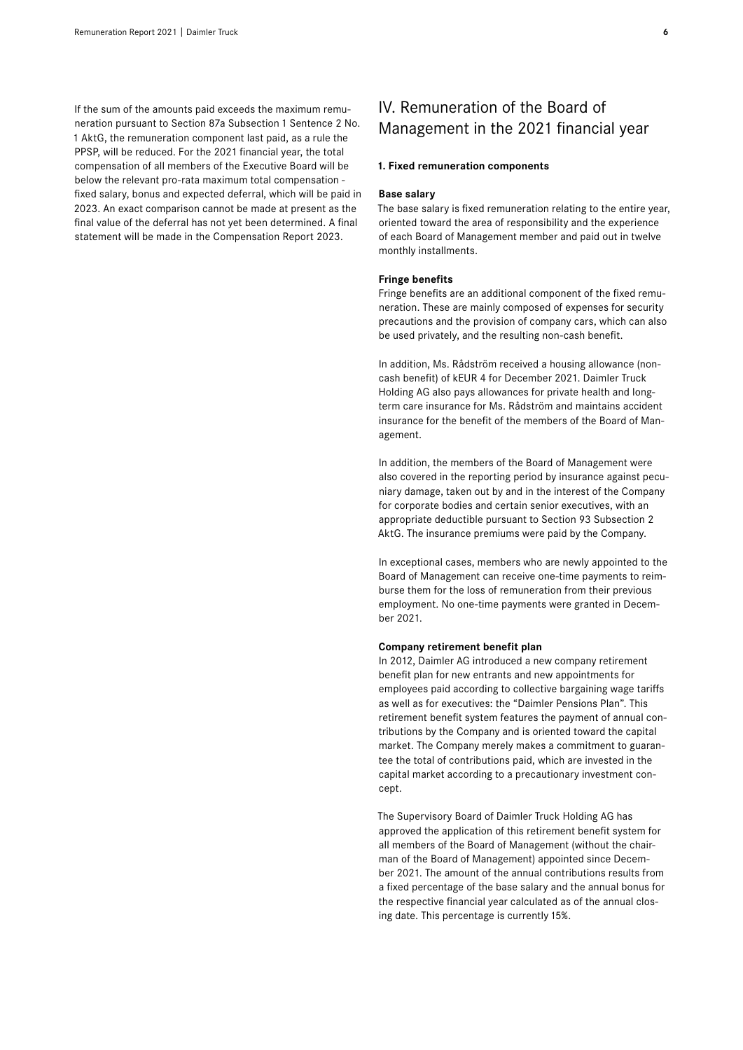If the sum of the amounts paid exceeds the maximum remuneration pursuant to Section 87a Subsection 1 Sentence 2 No. 1 AktG, the remuneration component last paid, as a rule the PPSP, will be reduced. For the 2021 financial year, the total compensation of all members of the Executive Board will be below the relevant pro-rata maximum total compensation fixed salary, bonus and expected deferral, which will be paid in 2023. An exact comparison cannot be made at present as the final value of the deferral has not yet been determined. A final statement will be made in the Compensation Report 2023.

# IV. Remuneration of the Board of Management in the 2021 financial year

#### **1. Fixed remuneration components**

#### **Base salary**

The base salary is fixed remuneration relating to the entire year, oriented toward the area of responsibility and the experience of each Board of Management member and paid out in twelve monthly installments.

#### **Fringe benefits**

Fringe benefits are an additional component of the fixed remuneration. These are mainly composed of expenses for security precautions and the provision of company cars, which can also be used privately, and the resulting non-cash benefit.

In addition, Ms. Rådström received a housing allowance (noncash benefit) of kEUR 4 for December 2021. Daimler Truck Holding AG also pays allowances for private health and longterm care insurance for Ms. Rådström and maintains accident insurance for the benefit of the members of the Board of Management.

In addition, the members of the Board of Management were also covered in the reporting period by insurance against pecuniary damage, taken out by and in the interest of the Company for corporate bodies and certain senior executives, with an appropriate deductible pursuant to Section 93 Subsection 2 AktG. The insurance premiums were paid by the Company.

In exceptional cases, members who are newly appointed to the Board of Management can receive one-time payments to reimburse them for the loss of remuneration from their previous employment. No one-time payments were granted in December 2021.

#### **Company retirement benefit plan**

In 2012, Daimler AG introduced a new company retirement benefit plan for new entrants and new appointments for employees paid according to collective bargaining wage tariffs as well as for executives: the "Daimler Pensions Plan". This retirement benefit system features the payment of annual contributions by the Company and is oriented toward the capital market. The Company merely makes a commitment to guarantee the total of contributions paid, which are invested in the capital market according to a precautionary investment concept.

The Supervisory Board of Daimler Truck Holding AG has approved the application of this retirement benefit system for all members of the Board of Management (without the chairman of the Board of Management) appointed since December 2021. The amount of the annual contributions results from a fixed percentage of the base salary and the annual bonus for the respective financial year calculated as of the annual closing date. This percentage is currently 15%.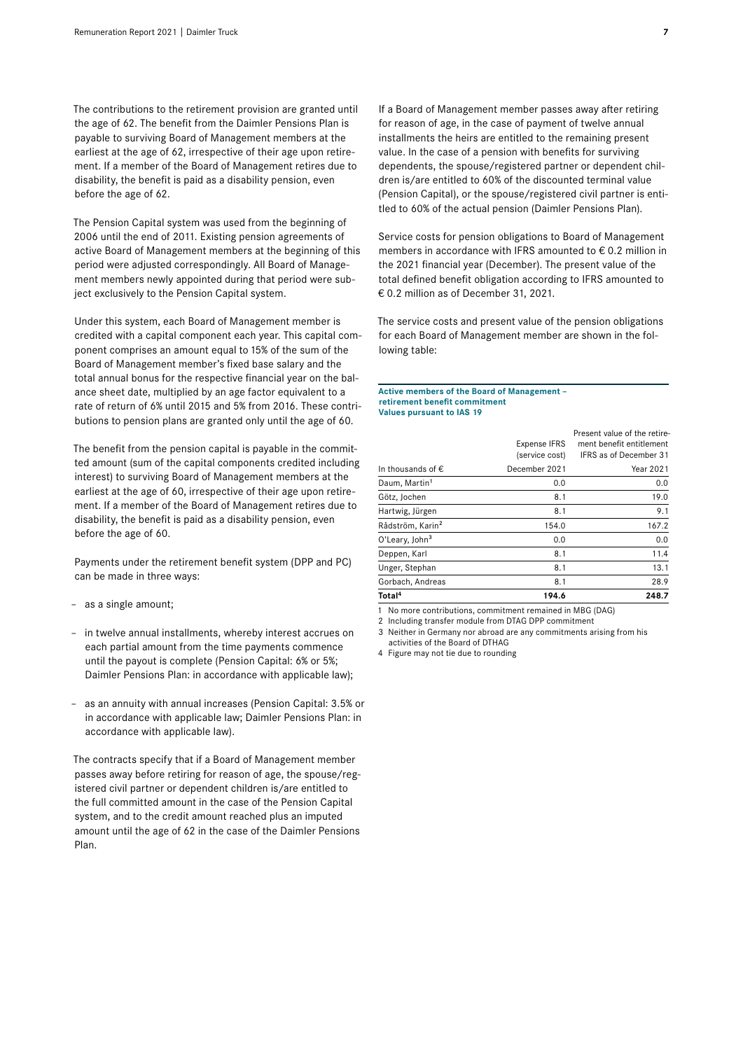The contributions to the retirement provision are granted until the age of 62. The benefit from the Daimler Pensions Plan is payable to surviving Board of Management members at the earliest at the age of 62, irrespective of their age upon retirement. If a member of the Board of Management retires due to disability, the benefit is paid as a disability pension, even before the age of 62.

The Pension Capital system was used from the beginning of 2006 until the end of 2011. Existing pension agreements of active Board of Management members at the beginning of this period were adjusted correspondingly. All Board of Management members newly appointed during that period were subject exclusively to the Pension Capital system.

Under this system, each Board of Management member is credited with a capital component each year. This capital component comprises an amount equal to15% of the sum of the Board of Management member's fixed base salary and the total annual bonus for the respective financial year on the balance sheet date, multiplied by an age factor equivalent to a rate of return of 6% until 2015 and 5% from 2016. These contributions to pension plans are granted only until the age of 60.

The benefit from the pension capital is payable in the committed amount (sum of the capital components credited including interest) to surviving Board of Management members at the earliest at the age of 60, irrespective of their age upon retirement. If a member of the Board of Management retires due to disability, the benefit is paid as a disability pension, even before the age of 60.

Payments under the retirement benefit system (DPP and PC) can be made in three ways:

- as a single amount;
- in twelve annual installments, whereby interest accrues on each partial amount from the time payments commence until the payout is complete (Pension Capital: 6% or 5%; Daimler Pensions Plan: in accordance with applicable law);
- as an annuity with annual increases (Pension Capital: 3.5% or in accordance with applicable law; Daimler Pensions Plan: in accordance with applicable law).

The contracts specify that if a Board of Management member passes away before retiring for reason of age, the spouse/registered civil partner or dependent children is/are entitled to the full committed amount in the case of the Pension Capital system, and to the credit amount reached plus an imputed amount until the age of 62 in the case of the Daimler Pensions Plan.

If a Board of Management member passes away after retiring for reason of age, in the case of payment of twelve annual installments the heirs are entitled to the remaining present value. In the case of a pension with benefits for surviving dependents, the spouse/registered partner or dependent children is/are entitled to 60% of the discounted terminal value (Pension Capital), or the spouse/registered civil partner is entitled to 60% of the actual pension (Daimler Pensions Plan).

Service costs for pension obligations to Board of Management members in accordance with IFRS amounted to € 0.2 million in the 2021 financial year (December). The present value of the total defined benefit obligation according to IFRS amounted to € 0.2 million as of December 31, 2021.

The service costs and present value of the pension obligations for each Board of Management member are shown in the following table:

#### **Active members of the Board of Management – retirement benefit commitment Values pursuant to IAS 19**

|                              | 194.6                                 | 248.7                                                                                     |
|------------------------------|---------------------------------------|-------------------------------------------------------------------------------------------|
| Total <sup>4</sup>           |                                       |                                                                                           |
| Gorbach, Andreas             | 8.1                                   | 28.9                                                                                      |
| Unger, Stephan               | 8.1                                   | 13.1                                                                                      |
| Deppen, Karl                 | 8.1                                   | 11.4                                                                                      |
| O'Leary, John <sup>3</sup>   | 0.0                                   | 0.0                                                                                       |
| Rådström, Karin <sup>2</sup> | 154.0                                 | 167.2                                                                                     |
| Hartwig, Jürgen              | 8.1                                   | 9.1                                                                                       |
| Götz, Jochen                 | 8.1                                   | 19.0                                                                                      |
| Daum, Martin <sup>1</sup>    | 0.0                                   | 0.0                                                                                       |
| In thousands of $\epsilon$   | December 2021                         | Year 2021                                                                                 |
|                              | <b>Expense IFRS</b><br>(service cost) | Present value of the retire-<br>ment benefit entitlement<br><b>IFRS as of December 31</b> |

1 No more contributions, commitment remained in MBG (DAG)

2 Including transfer module from DTAG DPP commitment

3 Neither in Germany nor abroad are any commitments arising from his activities of the Board of DTHAG

4 Figure may not tie due to rounding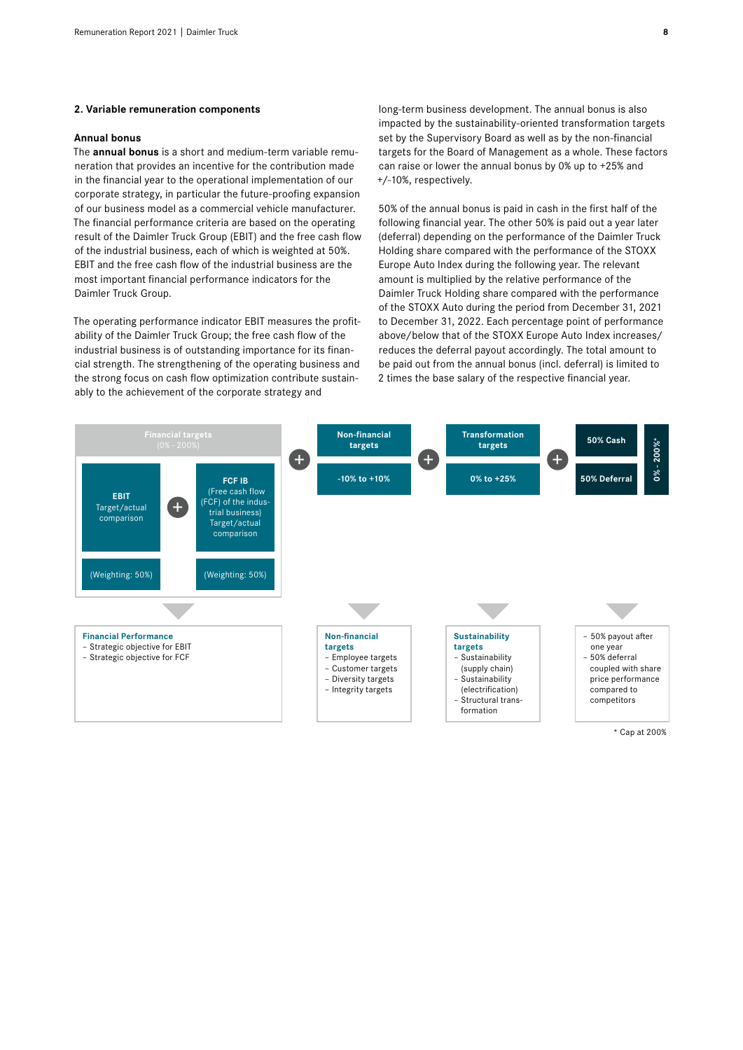#### **2. Variable remuneration components**

#### **Annual bonus**

The **annual bonus** is a short and medium-term variable remuneration that provides an incentive for the contribution made in the financial year to the operational implementation of our corporate strategy, in particular the future-proofing expansion of our business model as a commercial vehicle manufacturer. The financial performance criteria are based on the operating result of the Daimler Truck Group (EBIT) and the free cash flow of the industrial business, each of which is weighted at 50%. EBIT and the free cash flow of the industrial business are the most important financial performance indicators for the Daimler Truck Group.

The operating performance indicator EBIT measures the profitability of the Daimler Truck Group; the free cash flow of the industrial business is of outstanding importance for its financial strength. The strengthening of the operating business and the strong focus on cash flow optimization contribute sustainably to the achievement of the corporate strategy and

long-term business development. The annual bonus is also impacted by the sustainability-oriented transformation targets set by the Supervisory Board as well as by the non-financial targets for the Board of Management as a whole. These factors can raise or lower the annual bonus by 0% up to +25% and +/-10%, respectively.

50% of the annual bonus is paid in cash in the first half of the following financial year. The other 50% is paid out a year later (deferral) depending on the performance of the Daimler Truck Holding share compared with the performance of the STOXX Europe Auto Index during the following year. The relevant amount is multiplied by the relative performance of the Daimler Truck Holding share compared with the performance of the STOXX Auto during the period from December 31, 2021 to December 31, 2022. Each percentage point of performance above/below that of the STOXX Europe Auto Index increases/ reduces the deferral payout accordingly. The total amount to be paid out from the annual bonus (incl. deferral) is limited to 2 times the base salary of the respective financial year.

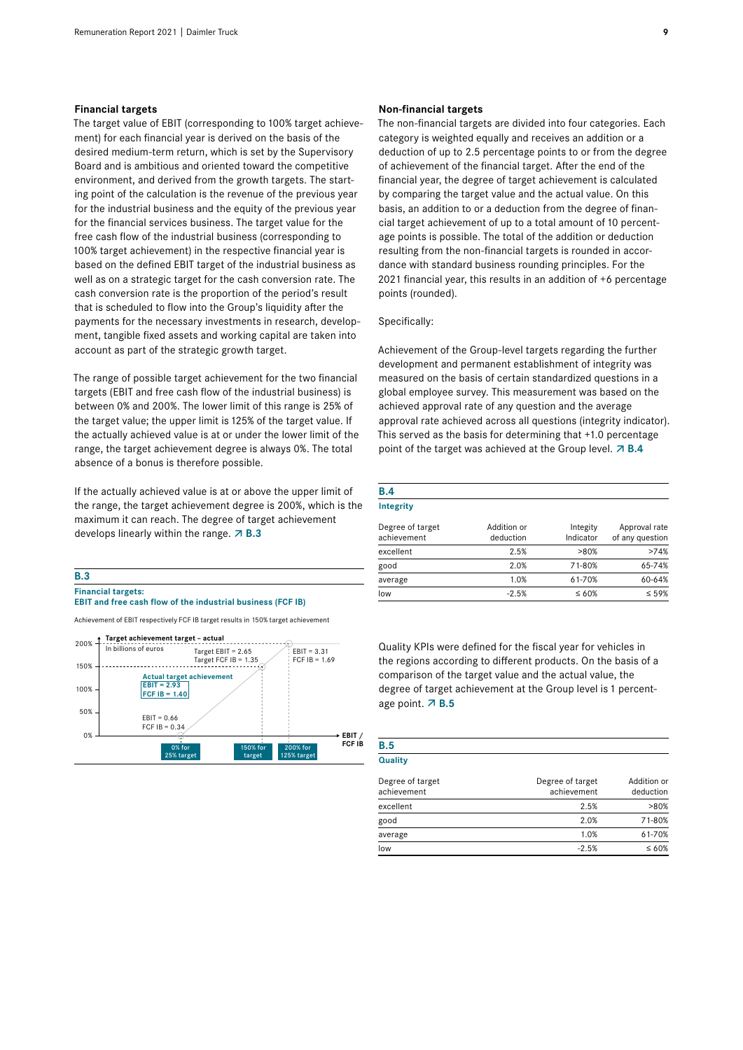#### **Financial targets**

The target value of EBIT (corresponding to 100% target achievement) for each financial year is derived on the basis of the desired medium-term return, which is set by the Supervisory Board and is ambitious and oriented toward the competitive environment, and derived from the growth targets. The starting point of the calculation is the revenue of the previous year for the industrial business and the equity of the previous year for the financial services business. The target value for the free cash flow of the industrial business (corresponding to 100% target achievement) in the respective financial year is based on the defined EBIT target of the industrial business as well as on a strategic target for the cash conversion rate. The cash conversion rate is the proportion of the period's result that is scheduled to flow into the Group's liquidity after the payments for the necessary investments in research, development, tangible fixed assets and working capital are taken into account as part of the strategic growth target.

The range of possible target achievement for the two financial targets (EBIT and free cash flow of the industrial business) is between 0% and 200%. The lower limit of this range is 25% of the target value; the upper limit is125% of the target value. If the actually achieved value is at or under the lower limit of the range, the target achievement degree is always 0%. The total absence of a bonus is therefore possible.

If the actually achieved value is at or above the upper limit of the range, the target achievement degree is 200%, which is the maximum it can reach. The degree of target achievement develops linearly within the range. **7 B.3** 

#### **B.3 Financial targets: EBIT and free cash flow of the industrial business (FCF IB)**

Achievement of EBIT respectively FCF IB target results in 150% target achievement



#### **Non-financial targets**

The non-financial targets are divided into four categories. Each category is weighted equally and receives an addition or a deduction of up to 2.5 percentage points to or from the degree of achievement of the financial target. After the end of the financial year, the degree of target achievement is calculated by comparing the target value and the actual value. On this basis, an addition to or a deduction from the degree of financial target achievement of up to a total amount of 10 percentage points is possible. The total of the addition or deduction resulting from the non-financial targets is rounded in accordance with standard business rounding principles. For the 2021 financial year, this results in an addition of +6 percentage points (rounded).

#### Specifically:

**B.5**

Achievement of the Group-level targets regarding the further development and permanent establishment of integrity was measured on the basis of certain standardized questions in a global employee survey. This measurement was based on the achieved approval rate of any question and the average approval rate achieved across all questions (integrity indicator). This served as the basis for determining that +1.0 percentage point of the target was achieved at the Group level. **7 B.4** 

| B.4                             |                          |                       |                                  |
|---------------------------------|--------------------------|-----------------------|----------------------------------|
| Integrity                       |                          |                       |                                  |
| Degree of target<br>achievement | Addition or<br>deduction | Integity<br>Indicator | Approval rate<br>of any question |
| excellent                       | 2.5%                     | $>80\%$               | >74%                             |
| good                            | 2.0%                     | 71-80%                | 65-74%                           |
| average                         | 1.0%                     | 61-70%                | 60-64%                           |
| low                             | $-2.5%$                  | $\leq 60\%$           | $\leq 59\%$                      |

Quality KPIs were defined for the fiscal year for vehicles in the regions according to different products. On the basis of a comparison of the target value and the actual value, the degree of target achievement at the Group level is 1 percentage point. **7 B.5** 

| Quality                         |                                 |                          |
|---------------------------------|---------------------------------|--------------------------|
| Degree of target<br>achievement | Degree of target<br>achievement | Addition or<br>deduction |
| excellent                       | 2.5%                            | >80%                     |
| good                            | 2.0%                            | 71-80%                   |
| average                         | 1.0%                            | 61-70%                   |
| low                             | $-2.5%$                         | $\leq 60\%$              |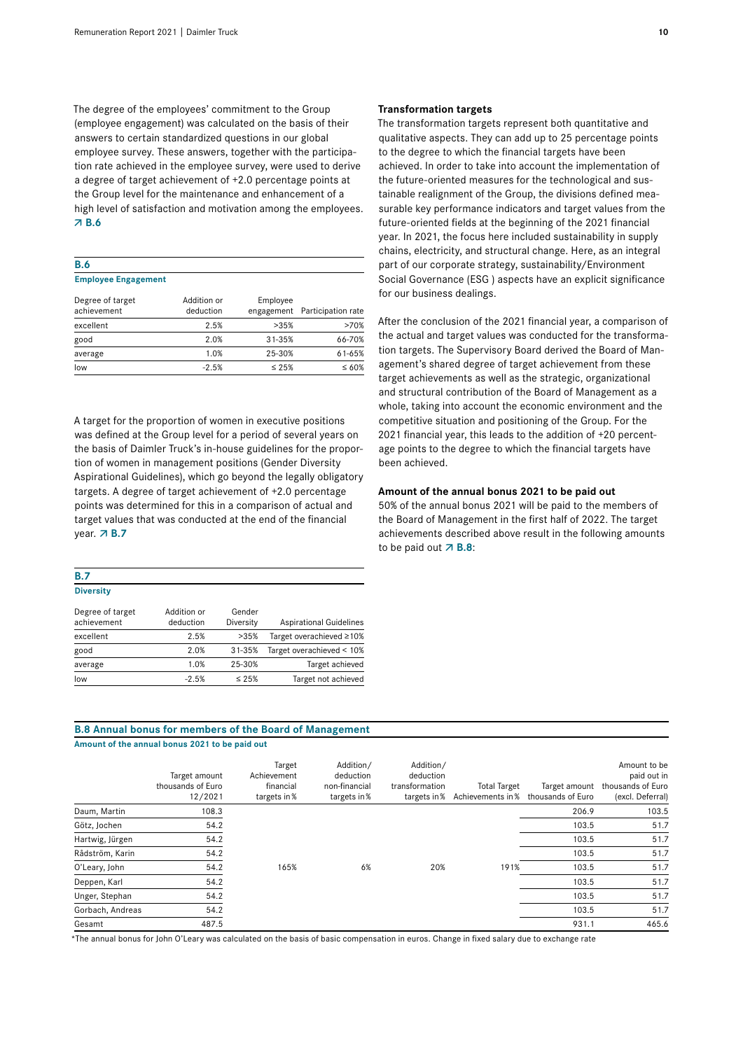The degree of the employees' commitment to the Group (employee engagement) was calculated on the basis of their answers to certain standardized questions in our global employee survey. These answers, together with the participation rate achieved in the employee survey, were used to derive a degree of target achievement of +2.0 percentage points at the Group level for the maintenance and enhancement of a high level of satisfaction and motivation among the employees. **B.6**

| <b>B.6</b>                 |  |
|----------------------------|--|
| <b>Employee Engagement</b> |  |

| Degree of target<br>achievement | Addition or<br>deduction | Employee    | engagement Participation rate |
|---------------------------------|--------------------------|-------------|-------------------------------|
| excellent                       | 2.5%                     | >35%        | >70%                          |
| good                            | 2.0%                     | 31-35%      | 66-70%                        |
| average                         | 1.0%                     | 25-30%      | $61 - 65%$                    |
| low                             | $-2.5%$                  | $\leq 25\%$ | $\leq 60\%$                   |

A target for the proportion of women in executive positions was defined at the Group level for a period of several years on the basis of Daimler Truck's in-house guidelines for the proportion of women in management positions (Gender Diversity Aspirational Guidelines), which go beyond the legally obligatory targets. A degree of target achievement of +2.0 percentage points was determined for this in a comparison of actual and target values that was conducted at the end of the financial year. **7 B.7** 

| <b>B.7</b>       |             |
|------------------|-------------|
| <b>Diversity</b> |             |
| Degree of target | Addition or |
| achievement      | deduction   |

| ucuucuun | <b>DIVULUILY</b> | Aspirational Galachiles   |
|----------|------------------|---------------------------|
| 2.5%     | >35%             | Target overachieved ≥10%  |
| 2.0%     | 31-35%           | Target overachieved < 10% |
| 1.0%     | 25-30%           | Target achieved           |
| $-2.5%$  | $\leq 25\%$      | Target not achieved       |
|          |                  |                           |

Gender

#### **Transformation targets**

The transformation targets represent both quantitative and qualitative aspects. They can add up to 25 percentage points to the degree to which the financial targets have been achieved. In order to take into account the implementation of the future-oriented measures for the technological and sustainable realignment of the Group, the divisions defined measurable key performance indicators and target values from the future-oriented fields at the beginning of the 2021 financial year. In 2021, the focus here included sustainability in supply chains, electricity, and structural change. Here, as an integral part of our corporate strategy, sustainability/Environment Social Governance (ESG ) aspects have an explicit significance for our business dealings.

After the conclusion of the 2021 financial year, a comparison of the actual and target values was conducted for the transformation targets. The Supervisory Board derived the Board of Management's shared degree of target achievement from these target achievements as well as the strategic, organizational and structural contribution of the Board of Management as a whole, taking into account the economic environment and the competitive situation and positioning of the Group. For the 2021 financial year, this leads to the addition of +20 percentage points to the degree to which the financial targets have been achieved.

#### **Amount of the annual bonus 2021 to be paid out**

50% of the annual bonus 2021 will be paid to the members of the Board of Management in the first half of 2022. The target achievements described above result in the following amounts to be paid out  $\overline{A}$  **B.8**:

#### **B.8 Annual bonus for members of the Board of Management Amount of the annual bonus 2021 to be paid out**

|                  | Target amount<br>thousands of Euro<br>12/2021 | Target<br>Achievement<br>financial<br>targets in % | Addition/<br>deduction<br>non-financial<br>targets in % | Addition/<br>deduction<br>transformation<br>targets in % | <b>Total Target</b><br>Achievements in % | Target amount<br>thousands of Euro | Amount to be<br>paid out in<br>thousands of Euro<br>(excl. Deferral) |
|------------------|-----------------------------------------------|----------------------------------------------------|---------------------------------------------------------|----------------------------------------------------------|------------------------------------------|------------------------------------|----------------------------------------------------------------------|
| Daum, Martin     | 108.3                                         |                                                    |                                                         |                                                          |                                          | 206.9                              | 103.5                                                                |
| Götz, Jochen     | 54.2                                          |                                                    |                                                         |                                                          |                                          | 103.5                              | 51.7                                                                 |
| Hartwig, Jürgen  | 54.2                                          |                                                    |                                                         |                                                          |                                          | 103.5                              | 51.7                                                                 |
| Rådström, Karin  | 54.2                                          |                                                    |                                                         |                                                          |                                          | 103.5                              | 51.7                                                                 |
| O'Leary, John    | 54.2                                          | 165%                                               | 6%                                                      | 20%                                                      | 191%                                     | 103.5                              | 51.7                                                                 |
| Deppen, Karl     | 54.2                                          |                                                    |                                                         |                                                          |                                          | 103.5                              | 51.7                                                                 |
| Unger, Stephan   | 54.2                                          |                                                    |                                                         |                                                          |                                          | 103.5                              | 51.7                                                                 |
| Gorbach, Andreas | 54.2                                          |                                                    |                                                         |                                                          |                                          | 103.5                              | 51.7                                                                 |
| Gesamt           | 487.5                                         |                                                    |                                                         |                                                          |                                          | 931.1                              | 465.6                                                                |

\*The annual bonus for John O'Leary was calculated on the basis of basic compensation in euros. Change in fixed salary due to exchange rate

Diversity Aspirational Guidelines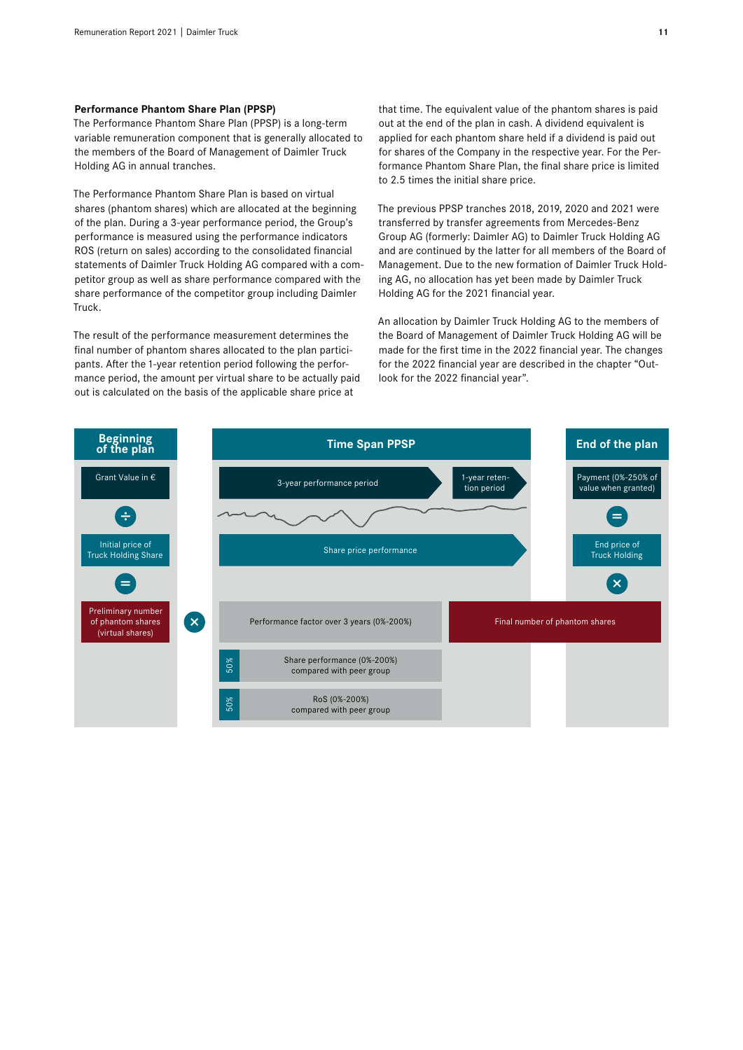#### **Performance Phantom Share Plan (PPSP)**

The Performance Phantom Share Plan (PPSP) is a long-term variable remuneration component that is generally allocated to the members of the Board of Management of Daimler Truck Holding AG in annual tranches.

The Performance Phantom Share Plan is based on virtual shares (phantom shares) which are allocated at the beginning of the plan. During a 3-year performance period, the Group's performance is measured using the performance indicators ROS (return on sales) according to the consolidated financial statements of Daimler Truck Holding AG compared with a competitor group as well as share performance compared with the share performance of the competitor group including Daimler Truck.

The result of the performance measurement determines the final number of phantom shares allocated to the plan participants. After the 1-year retention period following the performance period, the amount per virtual share to be actually paid out is calculated on the basis of the applicable share price at

that time. The equivalent value of the phantom shares is paid out at the end of the plan in cash. A dividend equivalent is applied for each phantom share held if a dividend is paid out for shares of the Company in the respective year. For the Performance Phantom Share Plan, the final share price is limited to 2.5 times the initial share price.

The previous PPSP tranches 2018, 2019, 2020 and 2021 were transferred by transfer agreements from Mercedes-Benz Group AG (formerly: Daimler AG) to Daimler Truck Holding AG and are continued by the latter for all members of the Board of Management. Due to the new formation of Daimler Truck Holding AG, no allocation has yet been made by Daimler Truck Holding AG for the 2021 financial year.

An allocation by Daimler Truck Holding AG to the members of the Board of Management of Daimler Truck Holding AG will be made for the first time in the 2022 financial year. The changes for the 2022 financial year are described in the chapter "Outlook for the 2022 financial year".

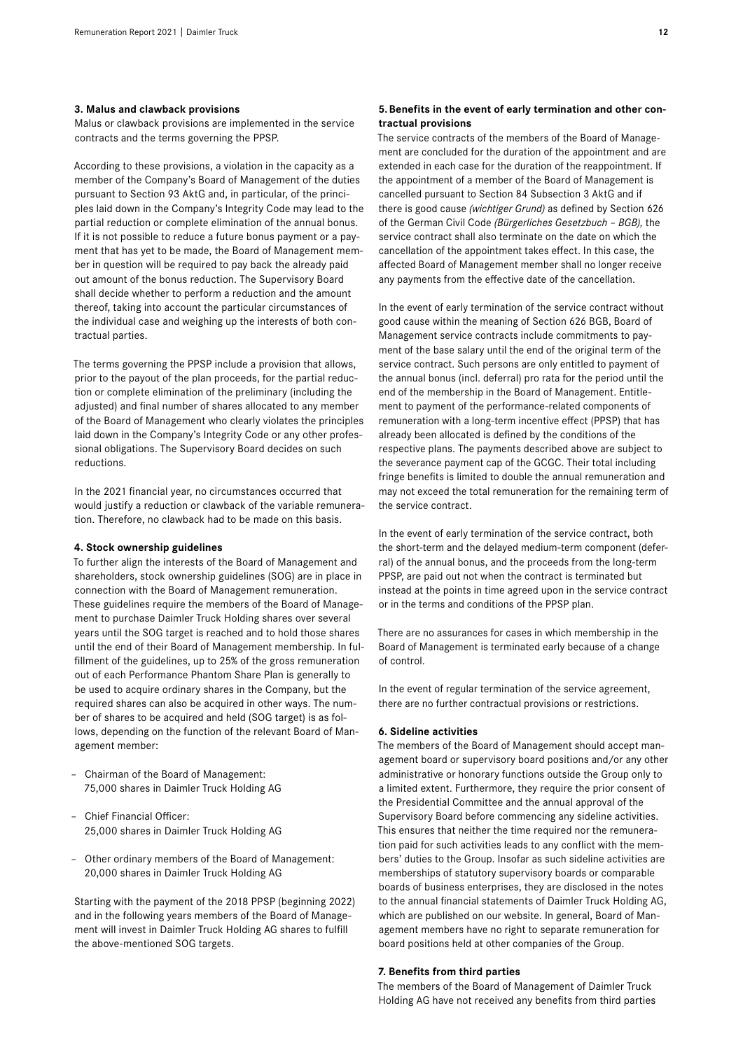#### **3. Malus and clawback provisions**

Malus or clawback provisions are implemented in the service contracts and the terms governing the PPSP.

According to these provisions, a violation in the capacity as a member of the Company's Board of Management of the duties pursuant to Section 93 AktG and, in particular, of the principles laid down in the Company's Integrity Code may lead to the partial reduction or complete elimination of the annual bonus. If it is not possible to reduce a future bonus payment or a payment that has yet to be made, the Board of Management member in question will be required to pay back the already paid out amount of the bonus reduction. The Supervisory Board shall decide whether to perform a reduction and the amount thereof, taking into account the particular circumstances of the individual case and weighing up the interests of both contractual parties.

The terms governing the PPSP include a provision that allows, prior to the payout of the plan proceeds, for the partial reduction or complete elimination of the preliminary (including the adjusted) and final number of shares allocated to any member of the Board of Management who clearly violates the principles laid down in the Company's Integrity Code or any other professional obligations. The Supervisory Board decides on such reductions.

In the 2021 financial year, no circumstances occurred that would justify a reduction or clawback of the variable remuneration. Therefore, no clawback had to be made on this basis.

#### **4. Stock ownership guidelines**

To further align the interests of the Board of Management and shareholders, stock ownership guidelines (SOG) are in place in connection with the Board of Management remuneration. These guidelines require the members of the Board of Management to purchase Daimler Truck Holding shares over several years until the SOG target is reached and to hold those shares until the end of their Board of Management membership. In fulfillment of the guidelines, up to 25% of the gross remuneration out of each Performance Phantom Share Plan is generally to be used to acquire ordinary shares in the Company, but the required shares can also be acquired in other ways. The number of shares to be acquired and held (SOG target) is as follows, depending on the function of the relevant Board of Management member:

- Chairman of the Board of Management: 75,000 shares in Daimler Truck Holding AG
- Chief Financial Officer: 25,000 shares in Daimler Truck Holding AG
- Other ordinary members of the Board of Management: 20,000 shares in Daimler Truck Holding AG

Starting with the payment of the 2018 PPSP (beginning 2022) and in the following years members of the Board of Management will invest in Daimler Truck Holding AG shares to fulfill the above-mentioned SOG targets.

#### **5.Benefits in the event of early termination and other contractual provisions**

The service contracts of the members of the Board of Management are concluded for the duration of the appointment and are extended in each case for the duration of the reappointment. If the appointment of a member of the Board of Management is cancelled pursuant to Section 84 Subsection 3 AktG and if there is good cause *(wichtiger Grund)* as defined by Section 626 of the German Civil Code *(Bürgerliches Gesetzbuch – BGB),* the service contract shall also terminate on the date on which the cancellation of the appointment takes effect. In this case, the affected Board of Management member shall no longer receive any payments from the effective date of the cancellation.

In the event of early termination of the service contract without good cause within the meaning of Section 626 BGB, Board of Management service contracts include commitments to payment of the base salary until the end of the original term of the service contract. Such persons are only entitled to payment of the annual bonus (incl. deferral) pro rata for the period until the end of the membership in the Board of Management. Entitlement to payment of the performance-related components of remuneration with a long-term incentive effect (PPSP) that has already been allocated is defined by the conditions of the respective plans. The payments described above are subject to the severance payment cap of the GCGC. Their total including fringe benefits is limited to double the annual remuneration and may not exceed the total remuneration for the remaining term of the service contract.

In the event of early termination of the service contract, both the short-term and the delayed medium-term component (deferral) of the annual bonus, and the proceeds from the long-term PPSP, are paid out not when the contract is terminated but instead at the points in time agreed upon in the service contract or in the terms and conditions of the PPSP plan.

There are no assurances for cases in which membership in the Board of Management is terminated early because of a change of control.

In the event of regular termination of the service agreement, there are no further contractual provisions or restrictions.

#### **6. Sideline activities**

The members of the Board of Management should accept management board or supervisory board positions and/or any other administrative or honorary functions outside the Group only to a limited extent. Furthermore, they require the prior consent of the Presidential Committee and the annual approval of the Supervisory Board before commencing any sideline activities. This ensures that neither the time required nor the remuneration paid for such activities leads to any conflict with the members' duties to the Group. Insofar as such sideline activities are memberships of statutory supervisory boards or comparable boards of business enterprises, they are disclosed in the notes to the annual financial statements of Daimler Truck Holding AG, which are published on our website. In general, Board of Management members have no right to separate remuneration for board positions held at other companies of the Group.

#### **7. Benefits from third parties**

The members of the Board of Management of Daimler Truck Holding AG have not received any benefits from third parties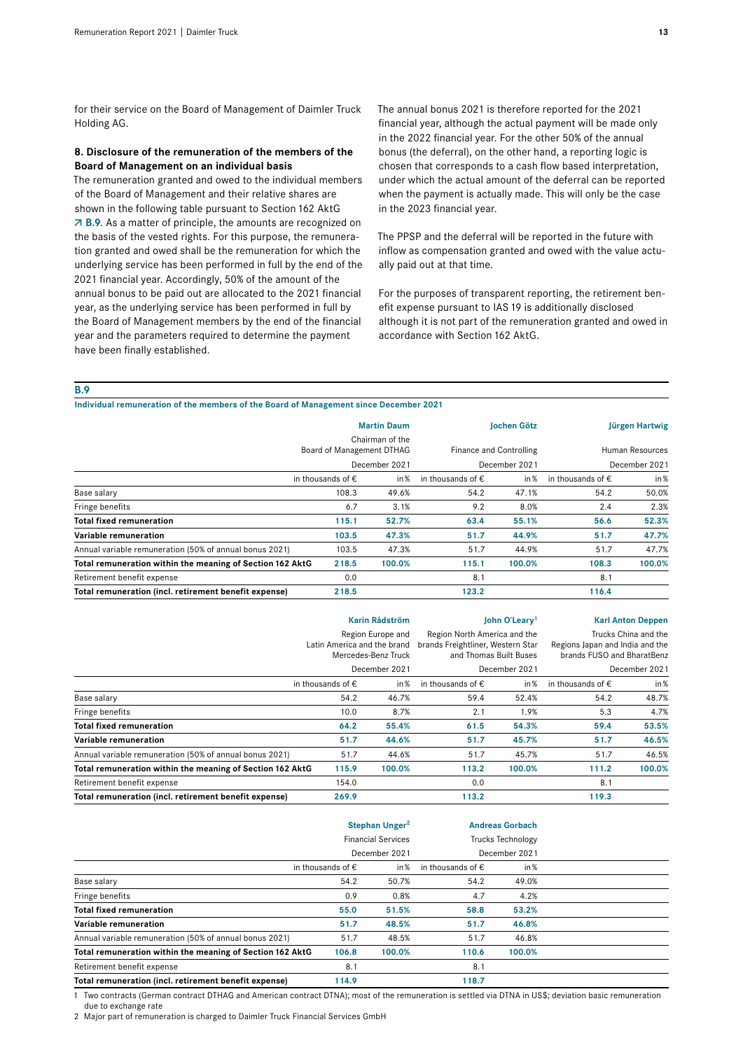for their service on the Board of Management of Daimler Truck Holding AG.

#### **8. Disclosure of the remuneration of the members of the Board of Management on an individual basis**

The remuneration granted and owed to the individual members of the Board of Management and their relative shares are shown in the following table pursuant to Section 162 AktG  **B.9**. As a matter of principle, the amounts are recognized on the basis of the vested rights. For this purpose, the remuneration granted and owed shall be the remuneration for which the underlying service has been performed in full by the end of the 2021 financial year. Accordingly, 50% of the amount of the annual bonus to be paid out are allocated to the 2021 financial year, as the underlying service has been performed in full by the Board of Management members by the end of the financial year and the parameters required to determine the payment have been finally established.

The annual bonus 2021 is therefore reported for the 2021 financial year, although the actual payment will be made only in the 2022 financial year. For the other 50% of the annual bonus (the deferral), on the other hand, a reporting logic is chosen that corresponds to a cash flow based interpretation, under which the actual amount of the deferral can be reported when the payment is actually made. This will only be the case in the 2023 financial year.

The PPSP and the deferral will be reported in the future with inflow as compensation granted and owed with the value actually paid out at that time.

For the purposes of transparent reporting, the retirement benefit expense pursuant to IAS19 is additionally disclosed although it is not part of the remuneration granted and owed in accordance with Section 162 AktG.

**B.9**

**Individual remuneration of the members of the Board of Management since December 2021**

|                                                           |                            | <b>Martin Daum</b>                           |                            | <b>Iochen Götz</b>      |                            | Jürgen Hartwig  |
|-----------------------------------------------------------|----------------------------|----------------------------------------------|----------------------------|-------------------------|----------------------------|-----------------|
|                                                           |                            | Chairman of the<br>Board of Management DTHAG |                            | Finance and Controlling |                            | Human Resources |
|                                                           |                            | December 2021                                |                            | December 2021           |                            | December 2021   |
|                                                           | in thousands of $\epsilon$ | in %                                         | in thousands of $\epsilon$ | in%                     | in thousands of $\epsilon$ | in %            |
| Base salary                                               | 108.3                      | 49.6%                                        | 54.2                       | 47.1%                   | 54.2                       | 50.0%           |
| Fringe benefits                                           | 6.7                        | 3.1%                                         | 9.2                        | 8.0%                    | 2.4                        | 2.3%            |
| <b>Total fixed remuneration</b>                           | 115.1                      | 52.7%                                        | 63.4                       | 55.1%                   | 56.6                       | 52.3%           |
| Variable remuneration                                     | 103.5                      | 47.3%                                        | 51.7                       | 44.9%                   | 51.7                       | 47.7%           |
| Annual variable remuneration (50% of annual bonus 2021)   | 103.5                      | 47.3%                                        | 51.7                       | 44.9%                   | 51.7                       | 47.7%           |
| Total remuneration within the meaning of Section 162 AktG | 218.5                      | 100.0%                                       | 115.1                      | 100.0%                  | 108.3                      | 100.0%          |
| Retirement benefit expense                                | 0.0                        |                                              | 8.1                        |                         | 8.1                        |                 |
| Total remuneration (incl. retirement benefit expense)     | 218.5                      |                                              | 123.2                      |                         | 116.4                      |                 |

|                                                           |                                                                                          | <b>Karin Rådström</b> |                                                                                                              | John O'Leary <sup>1</sup> | <b>Karl Anton Deppen</b>                                                                               |        |  |
|-----------------------------------------------------------|------------------------------------------------------------------------------------------|-----------------------|--------------------------------------------------------------------------------------------------------------|---------------------------|--------------------------------------------------------------------------------------------------------|--------|--|
|                                                           | Region Europe and<br>Latin America and the brand<br>Mercedes-Benz Truck<br>December 2021 |                       | Region North America and the<br>brands Freightliner, Western Star<br>and Thomas Built Buses<br>December 2021 |                           | Trucks China and the<br>Regions Japan and India and the<br>brands FUSO and BharatBenz<br>December 2021 |        |  |
|                                                           |                                                                                          |                       |                                                                                                              |                           |                                                                                                        |        |  |
|                                                           | in thousands of $\epsilon$                                                               | in%                   | in thousands of $\epsilon$                                                                                   | in%                       | in thousands of $\epsilon$                                                                             | in $%$ |  |
| Base salary                                               | 54.2                                                                                     | 46.7%                 | 59.4                                                                                                         | 52.4%                     | 54.2                                                                                                   | 48.7%  |  |
| Fringe benefits                                           | 10.0                                                                                     | 8.7%                  | 2.1                                                                                                          | 1.9%                      | 5.3                                                                                                    | 4.7%   |  |
| <b>Total fixed remuneration</b>                           | 64.2                                                                                     | 55.4%                 | 61.5                                                                                                         | 54.3%                     | 59.4                                                                                                   | 53.5%  |  |
| Variable remuneration                                     | 51.7                                                                                     | 44.6%                 | 51.7                                                                                                         | 45.7%                     | 51.7                                                                                                   | 46.5%  |  |
| Annual variable remuneration (50% of annual bonus 2021)   | 51.7                                                                                     | 44.6%                 | 51.7                                                                                                         | 45.7%                     | 51.7                                                                                                   | 46.5%  |  |
| Total remuneration within the meaning of Section 162 AktG | 115.9                                                                                    | 100.0%                | 113.2                                                                                                        | 100.0%                    | 111.2                                                                                                  | 100.0% |  |
| Retirement benefit expense                                | 154.0                                                                                    |                       | 0.0                                                                                                          |                           | 8.1                                                                                                    |        |  |
| Total remuneration (incl. retirement benefit expense)     | 269.9                                                                                    |                       | 113.2                                                                                                        |                           | 119.3                                                                                                  |        |  |

|                                                           |                            | Stephan Unger <sup>2</sup> | <b>Andreas Gorbach</b><br><b>Trucks Technology</b> |        |  |
|-----------------------------------------------------------|----------------------------|----------------------------|----------------------------------------------------|--------|--|
|                                                           |                            | <b>Financial Services</b>  |                                                    |        |  |
|                                                           | December 2021              |                            | December 2021                                      |        |  |
|                                                           | in thousands of $\epsilon$ | in %                       | in thousands of $\epsilon$                         | in %   |  |
| Base salary                                               | 54.2                       | 50.7%                      | 54.2                                               | 49.0%  |  |
| Fringe benefits                                           | 0.9                        | 0.8%                       | 4.7                                                | 4.2%   |  |
| <b>Total fixed remuneration</b>                           | 55.0                       | 51.5%                      | 58.8                                               | 53.2%  |  |
| Variable remuneration                                     | 51.7                       | 48.5%                      | 51.7                                               | 46.8%  |  |
| Annual variable remuneration (50% of annual bonus 2021)   | 51.7                       | 48.5%                      | 51.7                                               | 46.8%  |  |
| Total remuneration within the meaning of Section 162 AktG | 106.8                      | 100.0%                     | 110.6                                              | 100.0% |  |
| Retirement benefit expense                                | 8.1                        |                            | 8.1                                                |        |  |
| Total remuneration (incl. retirement benefit expense)     | 114.9                      |                            | 118.7                                              |        |  |

1 Two contracts (German contract DTHAG and American contract DTNA); most of the remuneration is settled via DTNA in US\$; deviation basic remuneration due to exchange rate

2 Major part of remuneration is charged to Daimler Truck Financial Services GmbH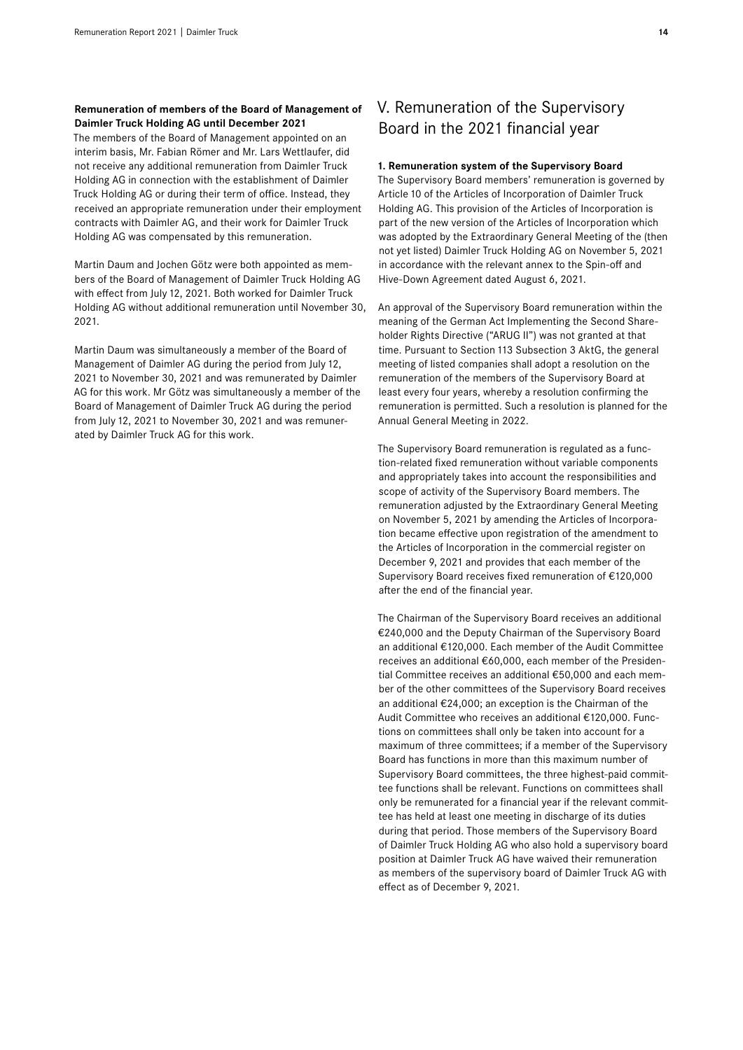#### **Remuneration of members of the Board of Management of Daimler Truck Holding AG until December 2021**

The members of the Board of Management appointed on an interim basis, Mr. Fabian Römer and Mr. Lars Wettlaufer, did not receive any additional remuneration from Daimler Truck Holding AG in connection with the establishment of Daimler Truck Holding AG or during their term of office. Instead, they received an appropriate remuneration under their employment contracts with Daimler AG, and their work for Daimler Truck Holding AG was compensated by this remuneration.

Martin Daum and Jochen Götz were both appointed as members of the Board of Management of Daimler Truck Holding AG with effect from July 12, 2021. Both worked for Daimler Truck Holding AG without additional remuneration until November 30, 2021.

Martin Daum was simultaneously a member of the Board of Management of Daimler AG during the period from July12, 2021 to November 30, 2021 and was remunerated by Daimler AG for this work. Mr Götz was simultaneously a member of the Board of Management of Daimler Truck AG during the period from July 12, 2021 to November 30, 2021 and was remunerated by Daimler Truck AG for this work.

# V. Remuneration of the Supervisory Board in the 2021 financial year

#### **1. Remuneration system of the Supervisory Board**

The Supervisory Board members' remuneration is governed by Article 10 of the Articles of Incorporation of Daimler Truck Holding AG. This provision of the Articles of Incorporation is part of the new version of the Articles of Incorporation which was adopted by the Extraordinary General Meeting of the (then not yet listed) Daimler Truck Holding AG on November 5, 2021 in accordance with the relevant annex to the Spin-off and Hive-Down Agreement dated August 6, 2021.

An approval of the Supervisory Board remuneration within the meaning of the German Act Implementing the Second Shareholder Rights Directive ("ARUG II") was not granted at that time. Pursuant to Section 113 Subsection 3 AktG, the general meeting of listed companies shall adopt a resolution on the remuneration of the members of the Supervisory Board at least every four years, whereby a resolution confirming the remuneration is permitted. Such a resolution is planned for the Annual General Meeting in 2022.

The Supervisory Board remuneration is regulated as a function-related fixed remuneration without variable components and appropriately takes into account the responsibilities and scope of activity of the Supervisory Board members. The remuneration adjusted by the Extraordinary General Meeting on November 5, 2021 by amending the Articles of Incorporation became effective upon registration of the amendment to the Articles of Incorporation in the commercial register on December 9, 2021 and provides that each member of the Supervisory Board receives fixed remuneration of €120,000 after the end of the financial year.

The Chairman of the Supervisory Board receives an additional €240,000 and the Deputy Chairman of the Supervisory Board an additional €120,000. Each member of the Audit Committee receives an additional €60,000, each member of the Presidential Committee receives an additional €50,000 and each member of the other committees of the Supervisory Board receives an additional €24,000; an exception is the Chairman of the Audit Committee who receives an additional €120,000. Functions on committees shall only be taken into account for a maximum of three committees; if a member of the Supervisory Board has functions in more than this maximum number of Supervisory Board committees, the three highest-paid committee functions shall be relevant. Functions on committees shall only be remunerated for a financial year if the relevant committee has held at least one meeting in discharge of its duties during that period. Those members of the Supervisory Board of Daimler Truck Holding AG who also hold a supervisory board position at Daimler Truck AG have waived their remuneration as members of the supervisory board of Daimler Truck AG with effect as of December 9, 2021.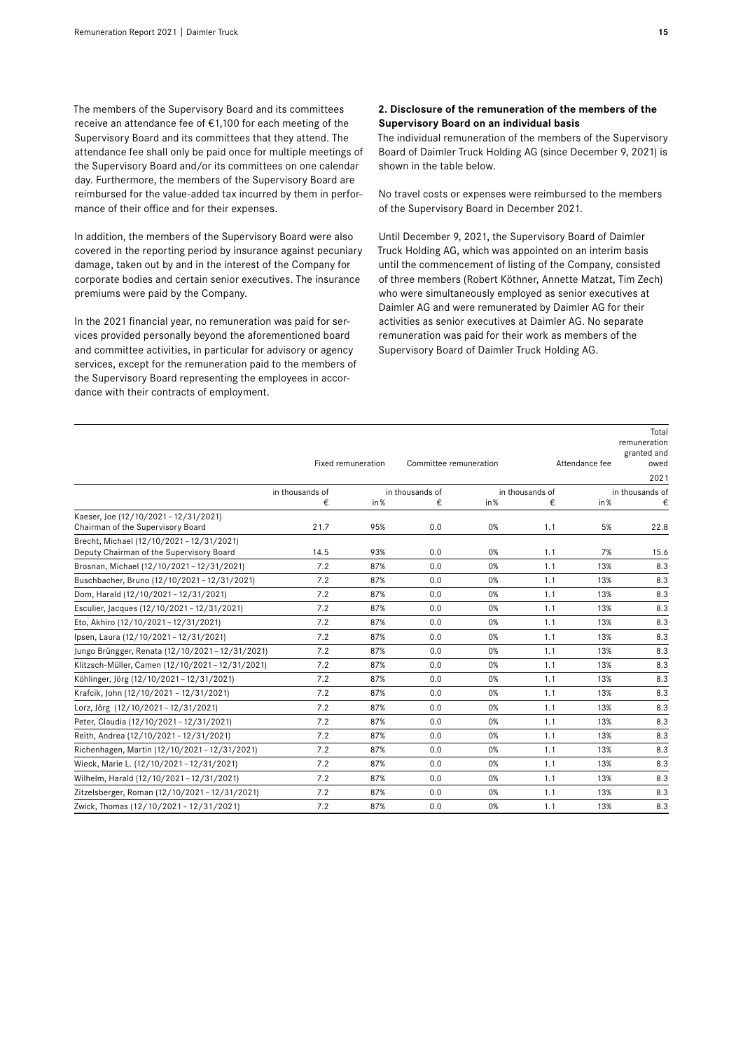The members of the Supervisory Board and its committees receive an attendance fee of €1,100 for each meeting of the Supervisory Board and its committees that they attend. The attendance fee shall only be paid once for multiple meetings of the Supervisory Board and/or its committees on one calendar day. Furthermore, the members of the Supervisory Board are reimbursed for the value-added tax incurred by them in performance of their office and for their expenses.

In addition, the members of the Supervisory Board were also covered in the reporting period by insurance against pecuniary damage, taken out by and in the interest of the Company for corporate bodies and certain senior executives. The insurance premiums were paid by the Company.

In the 2021 financial year, no remuneration was paid for services provided personally beyond the aforementioned board and committee activities, in particular for advisory or agency services, except for the remuneration paid to the members of the Supervisory Board representing the employees in accordance with their contracts of employment.

#### **2. Disclosure of the remuneration of the members of the Supervisory Board on an individual basis**

The individual remuneration of the members of the Supervisory Board of Daimler Truck Holding AG (since December 9, 2021) is shown in the table below.

No travel costs or expenses were reimbursed to the members of the Supervisory Board in December 2021.

Until December 9, 2021, the Supervisory Board of Daimler Truck Holding AG, which was appointed on an interim basis until the commencement of listing of the Company, consisted of three members (Robert Köthner, Annette Matzat, Tim Zech) who were simultaneously employed as senior executives at Daimler AG and were remunerated by Daimler AG for their activities as senior executives at Daimler AG. No separate remuneration was paid for their work as members of the Supervisory Board of Daimler Truck Holding AG.

|                                                                                     |                 | Fixed remuneration | Committee remuneration |                                    |     | Attendance fee | Total<br>remuneration<br>granted and<br>owed<br>2021 |  |
|-------------------------------------------------------------------------------------|-----------------|--------------------|------------------------|------------------------------------|-----|----------------|------------------------------------------------------|--|
|                                                                                     | in thousands of |                    |                        | in thousands of<br>in thousands of |     |                | in thousands of                                      |  |
|                                                                                     | €               | in $%$             | €                      | in %                               | €   | in %           | €                                                    |  |
| Kaeser, Joe (12/10/2021 - 12/31/2021)<br>Chairman of the Supervisory Board          | 21.7            | 95%                | 0.0                    | 0%                                 | 1.1 | 5%             | 22.8                                                 |  |
| Brecht, Michael (12/10/2021-12/31/2021)<br>Deputy Chairman of the Supervisory Board | 14.5            | 93%                | 0.0                    | 0%                                 | 1.1 | 7%             | 15.6                                                 |  |
| Brosnan, Michael (12/10/2021 - 12/31/2021)                                          | 7.2             | 87%                | 0.0                    | 0%                                 | 1.1 | 13%            | 8.3                                                  |  |
| Buschbacher, Bruno (12/10/2021-12/31/2021)                                          | 7.2             | 87%                | 0.0                    | 0%                                 | 1.1 | 13%            | 8.3                                                  |  |
| Dom, Harald (12/10/2021-12/31/2021)                                                 | 7.2             | 87%                | 0.0                    | 0%                                 | 1.1 | 13%            | 8.3                                                  |  |
| Esculier, Jacques (12/10/2021 - 12/31/2021)                                         | 7.2             | 87%                | 0.0                    | 0%                                 | 1.1 | 13%            | 8.3                                                  |  |
| Eto, Akhiro (12/10/2021-12/31/2021)                                                 | 7.2             | 87%                | 0.0                    | 0%                                 | 1.1 | 13%            | 8.3                                                  |  |
| Ipsen, Laura (12/10/2021-12/31/2021)                                                | 7.2             | 87%                | 0.0                    | 0%                                 | 1.1 | 13%            | 8.3                                                  |  |
| Jungo Brüngger, Renata (12/10/2021 - 12/31/2021)                                    | 7.2             | 87%                | 0.0                    | 0%                                 | 1.1 | 13%            | 8.3                                                  |  |
| Klitzsch-Müller, Camen (12/10/2021 - 12/31/2021)                                    | 7.2             | 87%                | 0.0                    | 0%                                 | 1.1 | 13%            | 8.3                                                  |  |
| Köhlinger, Jörg (12/10/2021 - 12/31/2021)                                           | 7.2             | 87%                | 0.0                    | 0%                                 | 1.1 | 13%            | 8.3                                                  |  |
| Krafcik, John (12/10/2021 - 12/31/2021)                                             | 7.2             | 87%                | 0.0                    | 0%                                 | 1.1 | 13%            | 8.3                                                  |  |
| Lorz, Jörg (12/10/2021-12/31/2021)                                                  | 7.2             | 87%                | 0.0                    | 0%                                 | 1.1 | 13%            | 8.3                                                  |  |
| Peter, Claudia (12/10/2021 - 12/31/2021)                                            | 7.2             | 87%                | 0.0                    | 0%                                 | 1.1 | 13%            | 8.3                                                  |  |
| Reith, Andrea (12/10/2021-12/31/2021)                                               | 7.2             | 87%                | 0.0                    | 0%                                 | 1.1 | 13%            | 8.3                                                  |  |
| Richenhagen, Martin (12/10/2021 - 12/31/2021)                                       | 7.2             | 87%                | 0.0                    | 0%                                 | 1.1 | 13%            | 8.3                                                  |  |
| Wieck, Marie L. (12/10/2021-12/31/2021)                                             | 7.2             | 87%                | 0.0                    | 0%                                 | 1.1 | 13%            | 8.3                                                  |  |
| Wilhelm, Harald (12/10/2021-12/31/2021)                                             | 7.2             | 87%                | 0.0                    | 0%                                 | 1.1 | 13%            | 8.3                                                  |  |
| Zitzelsberger, Roman (12/10/2021 - 12/31/2021)                                      | 7.2             | 87%                | 0.0                    | 0%                                 | 1.1 | 13%            | 8.3                                                  |  |
| Zwick, Thomas (12/10/2021 - 12/31/2021)                                             | 7.2             | 87%                | 0.0                    | 0%                                 | 1.1 | 13%            | 8.3                                                  |  |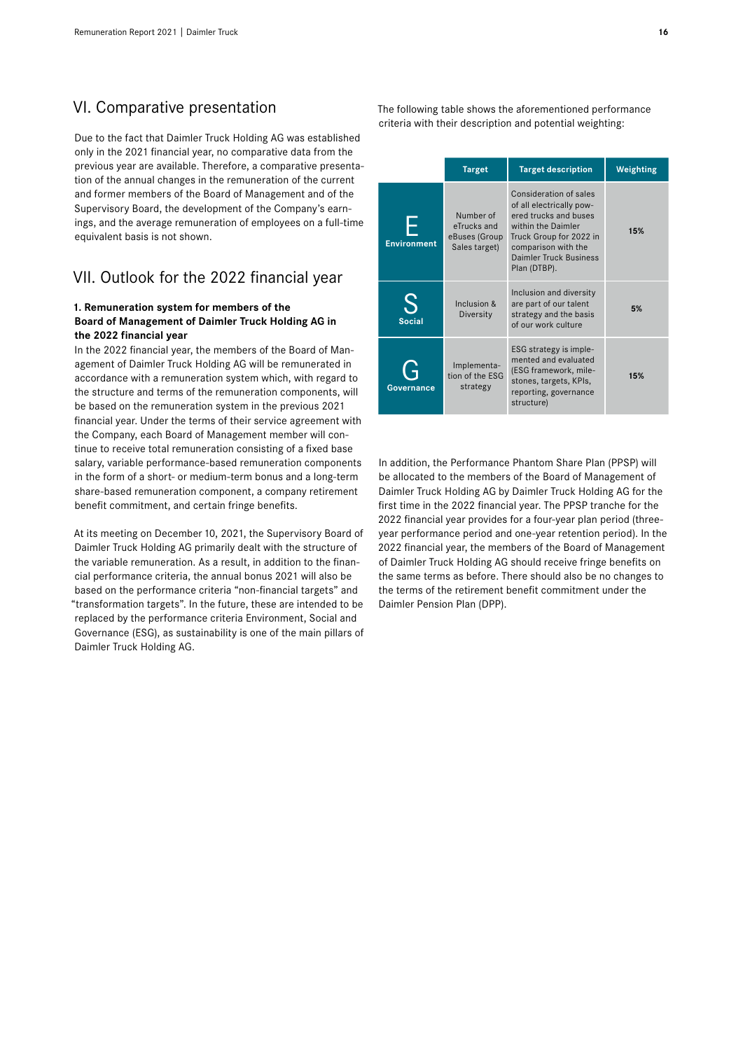# VI. Comparative presentation

Due to the fact that Daimler Truck Holding AG was established only in the 2021 financial year, no comparative data from the previous year are available. Therefore, a comparative presentation of the annual changes in the remuneration of the current and former members of the Board of Management and of the Supervisory Board, the development of the Company's earnings, and the average remuneration of employees on a full-time equivalent basis is not shown.

# VII. Outlook for the 2022 financial year

#### **1. Remuneration system for members of the Board of Management of Daimler Truck Holding AG in the 2022 financial year**

In the 2022 financial year, the members of the Board of Management of Daimler Truck Holding AG will be remunerated in accordance with a remuneration system which, with regard to the structure and terms of the remuneration components, will be based on the remuneration system in the previous 2021 financial year. Under the terms of their service agreement with the Company, each Board of Management member will continue to receive total remuneration consisting of a fixed base salary, variable performance-based remuneration components in the form of a short- or medium-term bonus and a long-term share-based remuneration component, a company retirement benefit commitment, and certain fringe benefits.

At its meeting on December 10, 2021, the Supervisory Board of Daimler Truck Holding AG primarily dealt with the structure of the variable remuneration. As a result, in addition to the financial performance criteria, the annual bonus 2021 will also be based on the performance criteria "non-financial targets" and "transformation targets". In the future, these are intended to be replaced by the performance criteria Environment, Social and Governance (ESG), as sustainability is one of the main pillars of Daimler Truck Holding AG.

The following table shows the aforementioned performance criteria with their description and potential weighting:

|                    | <b>Target</b>                                              | <b>Target description</b>                                                                                                                                                                     | Weighting |
|--------------------|------------------------------------------------------------|-----------------------------------------------------------------------------------------------------------------------------------------------------------------------------------------------|-----------|
| <b>Environment</b> | Number of<br>eTrucks and<br>eBuses (Group<br>Sales target) | Consideration of sales<br>of all electrically pow-<br>ered trucks and buses<br>within the Daimler<br>Truck Group for 2022 in<br>comparison with the<br>Daimler Truck Business<br>Plan (DTBP). | 15%       |
| <b>Social</b>      | Inclusion &<br>Diversity                                   | Inclusion and diversity<br>are part of our talent<br>strategy and the basis<br>of our work culture                                                                                            | 5%        |
| Governance         | Implementa-<br>tion of the ESG<br>strategy                 | ESG strategy is imple-<br>mented and evaluated<br>(ESG framework, mile-<br>stones, targets, KPIs,<br>reporting, governance<br>structure)                                                      | 15%       |

In addition, the Performance Phantom Share Plan (PPSP) will be allocated to the members of the Board of Management of Daimler Truck Holding AG by Daimler Truck Holding AG for the first time in the 2022 financial year. The PPSP tranche for the 2022 financial year provides for a four-year plan period (threeyear performance period and one-year retention period). In the 2022 financial year, the members of the Board of Management of Daimler Truck Holding AG should receive fringe benefits on the same terms as before. There should also be no changes to the terms of the retirement benefit commitment under the Daimler Pension Plan (DPP).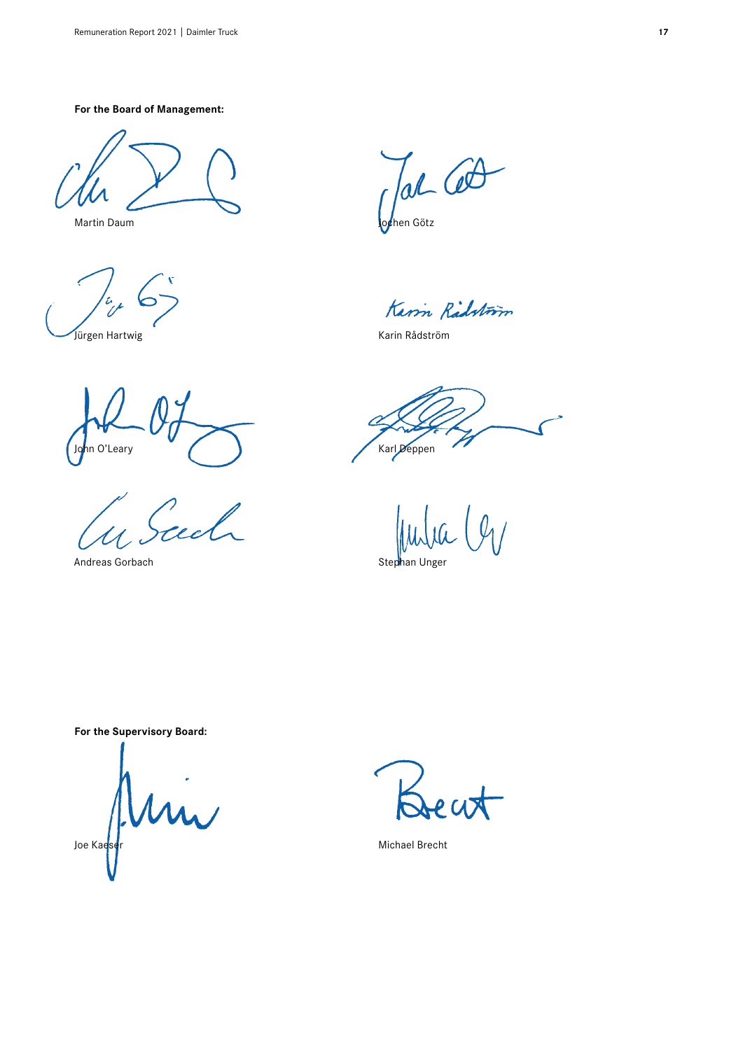**For the Board of Management:**

**Jürgen Hartwig Karin Rådström** 

hn O'Leary **Karl Deppen** 

ed

Andreas Gorbach Stephan Unger Stephan Unger

Tal Cot

Martin Daum John Götz

Karm Radston

**For the Supervisory Board:**

Joe Kae<mark>ser</mark> Mun

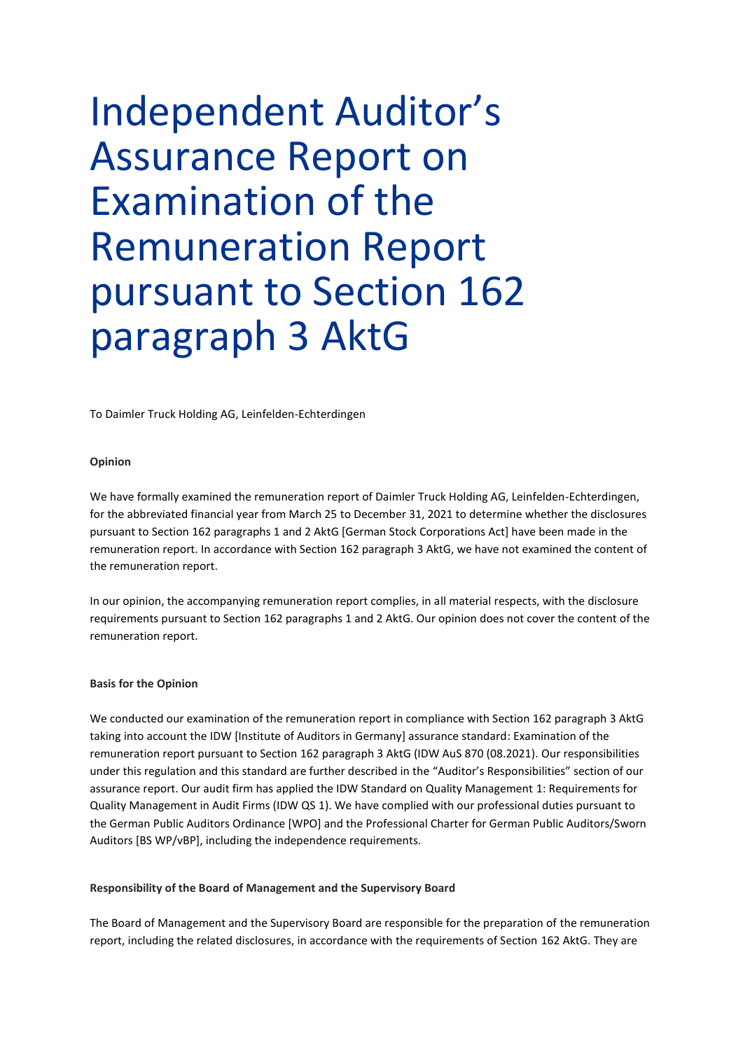# Independent Auditor's Assurance Report on Examination of the Remuneration Report pursuant to Section 162 paragraph 3 AktG

To Daimler Truck Holding AG, Leinfelden-Echterdingen

#### **Opinion**

We have formally examined the remuneration report of Daimler Truck Holding AG, Leinfelden-Echterdingen, for the abbreviated financial year from March 25 to December 31, 2021 to determine whether the disclosures pursuant to Section 162 paragraphs 1 and 2 AktG [German Stock Corporations Act] have been made in the remuneration report. In accordance with Section 162 paragraph 3 AktG, we have not examined the content of the remuneration report.

In our opinion, the accompanying remuneration report complies, in all material respects, with the disclosure requirements pursuant to Section 162 paragraphs 1 and 2 AktG. Our opinion does not cover the content of the remuneration report.

#### **Basis for the Opinion**

We conducted our examination of the remuneration report in compliance with Section 162 paragraph 3 AktG taking into account the IDW [Institute of Auditors in Germany] assurance standard: Examination of the remuneration report pursuant to Section 162 paragraph 3 AktG (IDW AuS 870 (08.2021). Our responsibilities under this regulation and this standard are further described in the "Auditor's Responsibilities" section of our assurance report. Our audit firm has applied the IDW Standard on Quality Management 1: Requirements for Quality Management in Audit Firms (IDW QS 1). We have complied with our professional duties pursuant to the German Public Auditors Ordinance [WPO] and the Professional Charter for German Public Auditors/Sworn Auditors [BS WP/vBP], including the independence requirements.

#### **Responsibility of the Board of Management and the Supervisory Board**

The Board of Management and the Supervisory Board are responsible for the preparation of the remuneration report, including the related disclosures, in accordance with the requirements of Section 162 AktG. They are